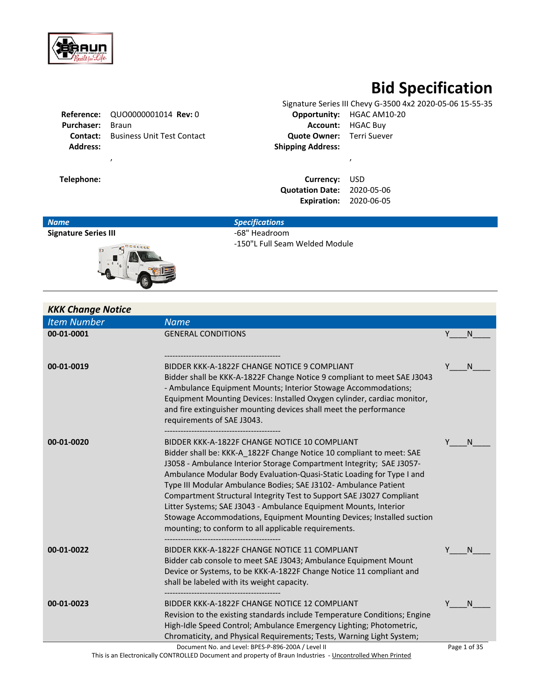

# **Bid Specification**<br>(G-3500 4x2 2020-05-06 15-55-35

|                         | <b>Reference: QUO0000001014 Rev: 0</b>     |                                  | <b>Opportunity: HGAC AM10-20</b> |
|-------------------------|--------------------------------------------|----------------------------------|----------------------------------|
| <b>Purchaser:</b> Braun |                                            |                                  | <b>Account:</b> HGAC Buy         |
|                         | <b>Contact:</b> Business Unit Test Contact | <b>Quote Owner:</b> Terri Suever |                                  |
| <b>Address:</b>         |                                            | <b>Shipping Address:</b>         |                                  |
|                         |                                            |                                  |                                  |

|                                   |                                  | Signature Series III Chevy G-3500 4x2 2020-05-06 15-55-35 |
|-----------------------------------|----------------------------------|-----------------------------------------------------------|
|                                   |                                  | <b>Opportunity:</b> HGAC AM10-20                          |
| Braun                             |                                  | <b>Account:</b> HGAC Buy                                  |
| <b>Business Unit Test Contact</b> | <b>Quote Owner:</b> Terri Suever |                                                           |
|                                   | <b>Shipping Address:</b>         |                                                           |
|                                   |                                  |                                                           |
|                                   |                                  |                                                           |

**Telephone: Currency:** USD **Quotation Date:** 2020-05-06 **Expiration:** 2020-06-05

| <b>Name</b>                 | <b>Specifications</b>          |
|-----------------------------|--------------------------------|
| <b>Signature Series III</b> | -68" Headroom                  |
| 'nО<br><b>SOF</b>           | -150"L Full Seam Welded Module |

| <b>KKK Change Notice</b> |                                                                                                                                                                                                                                                                                                                                                                                                                                                                                                                                                                                                                        |              |
|--------------------------|------------------------------------------------------------------------------------------------------------------------------------------------------------------------------------------------------------------------------------------------------------------------------------------------------------------------------------------------------------------------------------------------------------------------------------------------------------------------------------------------------------------------------------------------------------------------------------------------------------------------|--------------|
| <b>Item Number</b>       | <b>Name</b>                                                                                                                                                                                                                                                                                                                                                                                                                                                                                                                                                                                                            |              |
| 00-01-0001               | <b>GENERAL CONDITIONS</b>                                                                                                                                                                                                                                                                                                                                                                                                                                                                                                                                                                                              | Υ<br>N       |
| 00-01-0019               | BIDDER KKK-A-1822F CHANGE NOTICE 9 COMPLIANT<br>Bidder shall be KKK-A-1822F Change Notice 9 compliant to meet SAE J3043<br>- Ambulance Equipment Mounts; Interior Stowage Accommodations;<br>Equipment Mounting Devices: Installed Oxygen cylinder, cardiac monitor,<br>and fire extinguisher mounting devices shall meet the performance<br>requirements of SAE J3043.                                                                                                                                                                                                                                                | Y<br>N       |
| 00-01-0020               | BIDDER KKK-A-1822F CHANGE NOTICE 10 COMPLIANT<br>Bidder shall be: KKK-A 1822F Change Notice 10 compliant to meet: SAE<br>J3058 - Ambulance Interior Storage Compartment Integrity; SAE J3057-<br>Ambulance Modular Body Evaluation-Quasi-Static Loading for Type I and<br>Type III Modular Ambulance Bodies; SAE J3102- Ambulance Patient<br>Compartment Structural Integrity Test to Support SAE J3027 Compliant<br>Litter Systems; SAE J3043 - Ambulance Equipment Mounts, Interior<br>Stowage Accommodations, Equipment Mounting Devices; Installed suction<br>mounting; to conform to all applicable requirements. | N            |
| 00-01-0022               | BIDDER KKK-A-1822F CHANGE NOTICE 11 COMPLIANT<br>Bidder cab console to meet SAE J3043; Ambulance Equipment Mount<br>Device or Systems, to be KKK-A-1822F Change Notice 11 compliant and<br>shall be labeled with its weight capacity.                                                                                                                                                                                                                                                                                                                                                                                  | Υ<br>N       |
| 00-01-0023               | BIDDER KKK-A-1822F CHANGE NOTICE 12 COMPLIANT<br>Revision to the existing standards include Temperature Conditions; Engine<br>High-Idle Speed Control; Ambulance Emergency Lighting; Photometric,<br>Chromaticity, and Physical Requirements; Tests, Warning Light System;                                                                                                                                                                                                                                                                                                                                             | Υ<br>N       |
|                          | Document No. and Level: BPES-P-896-200A / Level II<br>This is an Electronically CONTROLLED Document and property of Braun Industries - Uncontrolled When Printed                                                                                                                                                                                                                                                                                                                                                                                                                                                       | Page 1 of 35 |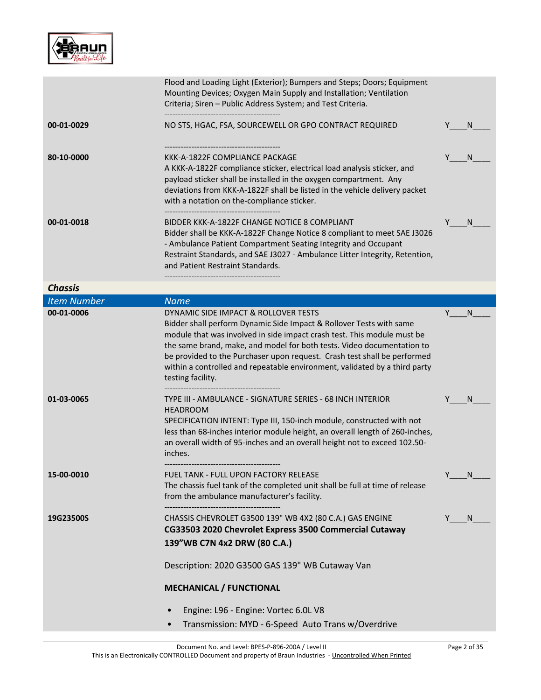

|                    | Flood and Loading Light (Exterior); Bumpers and Steps; Doors; Equipment<br>Mounting Devices; Oxygen Main Supply and Installation; Ventilation<br>Criteria; Siren - Public Address System; and Test Criteria.                                                                                                                                                                                                                                    |         |
|--------------------|-------------------------------------------------------------------------------------------------------------------------------------------------------------------------------------------------------------------------------------------------------------------------------------------------------------------------------------------------------------------------------------------------------------------------------------------------|---------|
| 00-01-0029         | NO STS, HGAC, FSA, SOURCEWELL OR GPO CONTRACT REQUIRED                                                                                                                                                                                                                                                                                                                                                                                          | N.<br>Y |
| 80-10-0000         | KKK-A-1822F COMPLIANCE PACKAGE<br>A KKK-A-1822F compliance sticker, electrical load analysis sticker, and<br>payload sticker shall be installed in the oxygen compartment. Any<br>deviations from KKK-A-1822F shall be listed in the vehicle delivery packet<br>with a notation on the-compliance sticker.                                                                                                                                      | N       |
| 00-01-0018         | BIDDER KKK-A-1822F CHANGE NOTICE 8 COMPLIANT<br>Bidder shall be KKK-A-1822F Change Notice 8 compliant to meet SAE J3026<br>- Ambulance Patient Compartment Seating Integrity and Occupant<br>Restraint Standards, and SAE J3027 - Ambulance Litter Integrity, Retention,<br>and Patient Restraint Standards.                                                                                                                                    | N       |
| <b>Chassis</b>     |                                                                                                                                                                                                                                                                                                                                                                                                                                                 |         |
| <b>Item Number</b> | <b>Name</b>                                                                                                                                                                                                                                                                                                                                                                                                                                     |         |
| 00-01-0006         | DYNAMIC SIDE IMPACT & ROLLOVER TESTS<br>Bidder shall perform Dynamic Side Impact & Rollover Tests with same<br>module that was involved in side impact crash test. This module must be<br>the same brand, make, and model for both tests. Video documentation to<br>be provided to the Purchaser upon request. Crash test shall be performed<br>within a controlled and repeatable environment, validated by a third party<br>testing facility. | Y<br>N. |
| 01-03-0065         | TYPE III - AMBULANCE - SIGNATURE SERIES - 68 INCH INTERIOR<br><b>HEADROOM</b><br>SPECIFICATION INTENT: Type III, 150-inch module, constructed with not<br>less than 68-inches interior module height, an overall length of 260-inches,<br>an overall width of 95-inches and an overall height not to exceed 102.50-<br>inches.                                                                                                                  | N       |
| 15-00-0010         | FUEL TANK - FULL UPON FACTORY RELEASE<br>The chassis fuel tank of the completed unit shall be full at time of release<br>from the ambulance manufacturer's facility.                                                                                                                                                                                                                                                                            | N       |
| 19G23500S          | CHASSIS CHEVROLET G3500 139" WB 4X2 (80 C.A.) GAS ENGINE<br>CG33503 2020 Chevrolet Express 3500 Commercial Cutaway<br>139"WB C7N 4x2 DRW (80 C.A.)                                                                                                                                                                                                                                                                                              | N.      |
|                    | Description: 2020 G3500 GAS 139" WB Cutaway Van                                                                                                                                                                                                                                                                                                                                                                                                 |         |
|                    | <b>MECHANICAL / FUNCTIONAL</b>                                                                                                                                                                                                                                                                                                                                                                                                                  |         |
|                    | Engine: L96 - Engine: Vortec 6.0L V8<br>Transmission: MYD - 6-Speed Auto Trans w/Overdrive                                                                                                                                                                                                                                                                                                                                                      |         |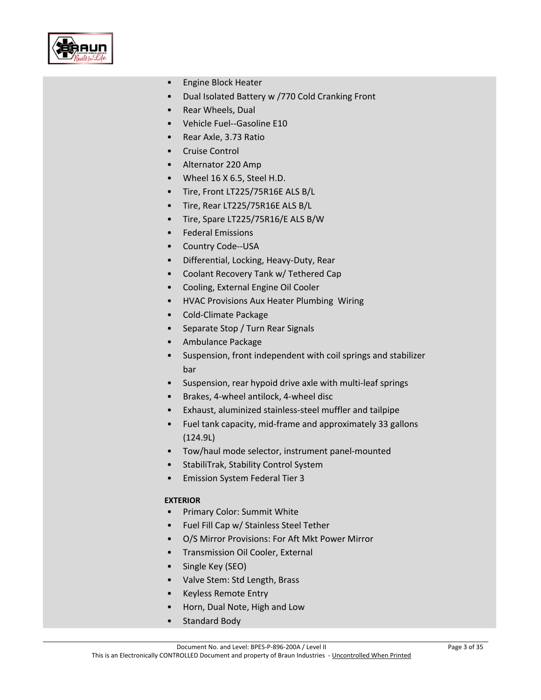

- Engine Block Heater
- Dual Isolated Battery w /770 Cold Cranking Front
- Rear Wheels, Dual
- Vehicle Fuel--Gasoline E10
- Rear Axle, 3.73 Ratio
- Cruise Control
- Alternator 220 Amp
- Wheel 16 X 6.5, Steel H.D.
- Tire, Front LT225/75R16E ALS B/L
- Tire, Rear LT225/75R16E ALS B/L
- Tire, Spare LT225/75R16/E ALS B/W
- Federal Emissions
- Country Code--USA
- Differential, Locking, Heavy-Duty, Rear
- Coolant Recovery Tank w/ Tethered Cap
- Cooling, External Engine Oil Cooler
- HVAC Provisions Aux Heater Plumbing Wiring
- Cold-Climate Package
- Separate Stop / Turn Rear Signals
- Ambulance Package
- Suspension, front independent with coil springs and stabilizer bar
- Suspension, rear hypoid drive axle with multi-leaf springs
- Brakes, 4-wheel antilock, 4-wheel disc
- Exhaust, aluminized stainless-steel muffler and tailpipe
- Fuel tank capacity, mid-frame and approximately 33 gallons (124.9L)
- Tow/haul mode selector, instrument panel-mounted
- StabiliTrak, Stability Control System
- Emission System Federal Tier 3

## **EXTERIOR**

- Primary Color: Summit White
- Fuel Fill Cap w/ Stainless Steel Tether
- O/S Mirror Provisions: For Aft Mkt Power Mirror
- Transmission Oil Cooler, External
- Single Key (SEO)
- Valve Stem: Std Length, Brass
- Keyless Remote Entry
- Horn, Dual Note, High and Low
- Standard Body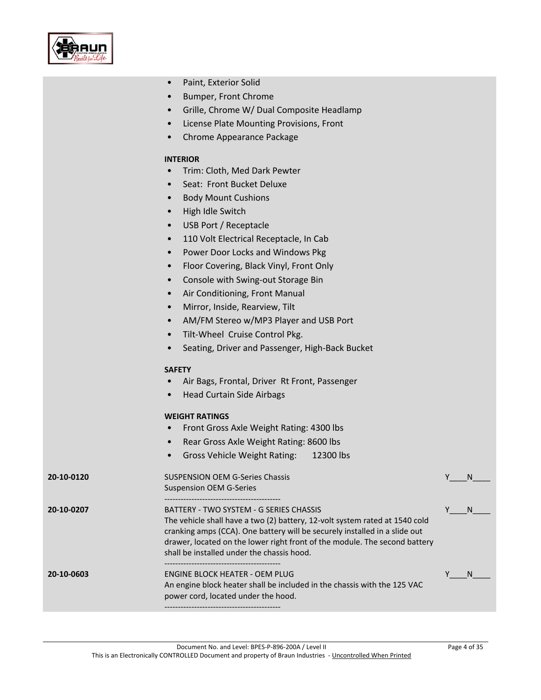

- Paint, Exterior Solid
- Bumper, Front Chrome
- Grille, Chrome W/ Dual Composite Headlamp
- License Plate Mounting Provisions, Front
- Chrome Appearance Package

## **INTERIOR**

- Trim: Cloth, Med Dark Pewter
- Seat: Front Bucket Deluxe
- Body Mount Cushions
- High Idle Switch
- USB Port / Receptacle
- 110 Volt Electrical Receptacle, In Cab
- Power Door Locks and Windows Pkg
- Floor Covering, Black Vinyl, Front Only
- Console with Swing-out Storage Bin
- Air Conditioning, Front Manual
- Mirror, Inside, Rearview, Tilt
- AM/FM Stereo w/MP3 Player and USB Port
- Tilt-Wheel Cruise Control Pkg.
- Seating, Driver and Passenger, High-Back Bucket

#### **SAFETY**

- Air Bags, Frontal, Driver Rt Front, Passenger
- Head Curtain Side Airbags

## **WEIGHT RATINGS**

- Front Gross Axle Weight Rating: 4300 lbs
- Rear Gross Axle Weight Rating: 8600 lbs
- Gross Vehicle Weight Rating: 12300 lbs

| 20-10-0120 | <b>SUSPENSION OEM G-Series Chassis</b>                                                                                                                                                                                                                                                                                           |  |
|------------|----------------------------------------------------------------------------------------------------------------------------------------------------------------------------------------------------------------------------------------------------------------------------------------------------------------------------------|--|
|            | <b>Suspension OEM G-Series</b>                                                                                                                                                                                                                                                                                                   |  |
| 20-10-0207 | BATTERY - TWO SYSTEM - G SERIES CHASSIS<br>The vehicle shall have a two (2) battery, 12-volt system rated at 1540 cold<br>cranking amps (CCA). One battery will be securely installed in a slide out<br>drawer, located on the lower right front of the module. The second battery<br>shall be installed under the chassis hood. |  |
| 20-10-0603 | ENGINE BLOCK HEATER - OEM PLUG<br>An engine block heater shall be included in the chassis with the 125 VAC<br>power cord, located under the hood.                                                                                                                                                                                |  |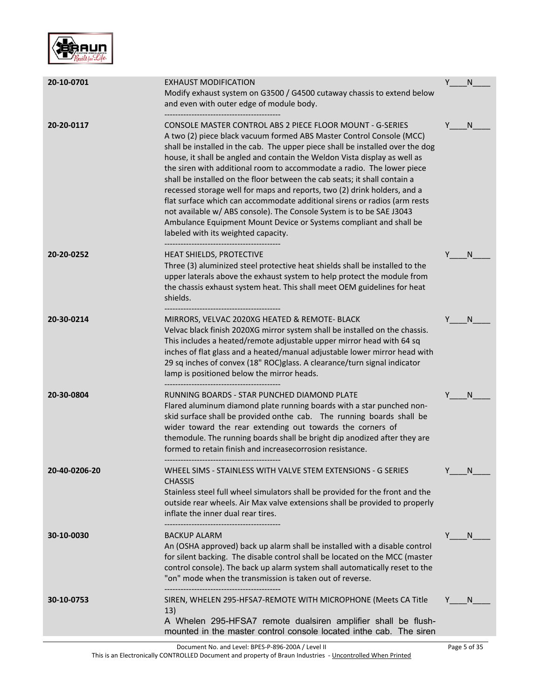

| 20-10-0701    | <b>EXHAUST MODIFICATION</b><br>Modify exhaust system on G3500 / G4500 cutaway chassis to extend below<br>and even with outer edge of module body.                                                                                                                                                                                                                                                                                                                                                                                                                                                                                                                                                                                                                                                                                                      | Y | N            |
|---------------|--------------------------------------------------------------------------------------------------------------------------------------------------------------------------------------------------------------------------------------------------------------------------------------------------------------------------------------------------------------------------------------------------------------------------------------------------------------------------------------------------------------------------------------------------------------------------------------------------------------------------------------------------------------------------------------------------------------------------------------------------------------------------------------------------------------------------------------------------------|---|--------------|
| 20-20-0117    | <b>CONSOLE MASTER CONTROL ABS 2 PIECE FLOOR MOUNT - G-SERIES</b><br>A two (2) piece black vacuum formed ABS Master Control Console (MCC)<br>shall be installed in the cab. The upper piece shall be installed over the dog<br>house, it shall be angled and contain the Weldon Vista display as well as<br>the siren with additional room to accommodate a radio. The lower piece<br>shall be installed on the floor between the cab seats; it shall contain a<br>recessed storage well for maps and reports, two (2) drink holders, and a<br>flat surface which can accommodate additional sirens or radios (arm rests<br>not available w/ ABS console). The Console System is to be SAE J3043<br>Ambulance Equipment Mount Device or Systems compliant and shall be<br>labeled with its weighted capacity.<br>-------------------------------------- | Y | N            |
| 20-20-0252    | <b>HEAT SHIELDS, PROTECTIVE</b><br>Three (3) aluminized steel protective heat shields shall be installed to the<br>upper laterals above the exhaust system to help protect the module from<br>the chassis exhaust system heat. This shall meet OEM guidelines for heat<br>shields.                                                                                                                                                                                                                                                                                                                                                                                                                                                                                                                                                                     | Υ | N.           |
| 20-30-0214    | MIRRORS, VELVAC 2020XG HEATED & REMOTE- BLACK<br>Velvac black finish 2020XG mirror system shall be installed on the chassis.<br>This includes a heated/remote adjustable upper mirror head with 64 sq<br>inches of flat glass and a heated/manual adjustable lower mirror head with<br>29 sq inches of convex (18" ROC)glass. A clearance/turn signal indicator<br>lamp is positioned below the mirror heads.                                                                                                                                                                                                                                                                                                                                                                                                                                          |   | N            |
| 20-30-0804    | RUNNING BOARDS - STAR PUNCHED DIAMOND PLATE<br>Flared aluminum diamond plate running boards with a star punched non-<br>skid surface shall be provided onthe cab.  The running boards shall be<br>wider toward the rear extending out towards the corners of<br>themodule. The running boards shall be bright dip anodized after they are<br>formed to retain finish and increasecorrosion resistance.                                                                                                                                                                                                                                                                                                                                                                                                                                                 | Y | N.           |
| 20-40-0206-20 | WHEEL SIMS - STAINLESS WITH VALVE STEM EXTENSIONS - G SERIES<br><b>CHASSIS</b><br>Stainless steel full wheel simulators shall be provided for the front and the<br>outside rear wheels. Air Max valve extensions shall be provided to properly<br>inflate the inner dual rear tires.                                                                                                                                                                                                                                                                                                                                                                                                                                                                                                                                                                   | Y | N            |
| 30-10-0030    | BACKUP ALARM<br>An (OSHA approved) back up alarm shall be installed with a disable control<br>for silent backing. The disable control shall be located on the MCC (master<br>control console). The back up alarm system shall automatically reset to the<br>"on" mode when the transmission is taken out of reverse.                                                                                                                                                                                                                                                                                                                                                                                                                                                                                                                                   |   | N.           |
| 30-10-0753    | SIREN, WHELEN 295-HFSA7-REMOTE WITH MICROPHONE (Meets CA Title<br>13)<br>A Whelen 295-HFSA7 remote dualsiren amplifier shall be flush-<br>mounted in the master control console located inthe cab. The siren                                                                                                                                                                                                                                                                                                                                                                                                                                                                                                                                                                                                                                           |   | <sup>N</sup> |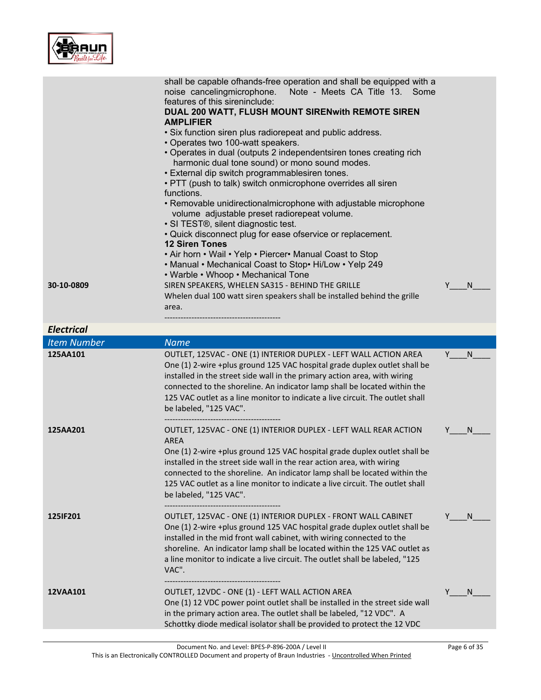| ÷<br>ı. |
|---------|
|---------|

| shall be capable ofhands-free operation and shall be equipped with a<br>noise cancelingmicrophone.<br>Note - Meets CA Title 13. Some<br>features of this sireninclude:<br>DUAL 200 WATT, FLUSH MOUNT SIRENwith REMOTE SIREN<br><b>AMPLIFIER</b><br>• Six function siren plus radiorepeat and public address.<br>• Operates two 100-watt speakers.<br>• Operates in dual (outputs 2 independentsiren tones creating rich<br>harmonic dual tone sound) or mono sound modes.<br>• External dip switch programmablesiren tones.<br>• PTT (push to talk) switch onmicrophone overrides all siren<br>functions.<br>• Removable unidirectionalmicrophone with adjustable microphone<br>volume adjustable preset radiorepeat volume.<br>• SI TEST®, silent diagnostic test.<br>• Quick disconnect plug for ease ofservice or replacement.<br><b>12 Siren Tones</b><br>• Air horn • Wail • Yelp • Piercer• Manual Coast to Stop<br>• Manual • Mechanical Coast to Stop• Hi/Low • Yelp 249<br>• Warble • Whoop • Mechanical Tone<br>SIREN SPEAKERS, WHELEN SA315 - BEHIND THE GRILLE<br>30-10-0809<br>Y<br>N<br>Whelen dual 100 watt siren speakers shall be installed behind the grille<br>area.<br><b>Electrical</b><br><b>Item Number</b><br><b>Name</b><br>125AA101<br>OUTLET, 125VAC - ONE (1) INTERIOR DUPLEX - LEFT WALL ACTION AREA<br>Y<br>N<br>One (1) 2-wire +plus ground 125 VAC hospital grade duplex outlet shall be<br>installed in the street side wall in the primary action area, with wiring<br>connected to the shoreline. An indicator lamp shall be located within the<br>125 VAC outlet as a line monitor to indicate a live circuit. The outlet shall<br>be labeled, "125 VAC".<br>125AA201<br>OUTLET, 125VAC - ONE (1) INTERIOR DUPLEX - LEFT WALL REAR ACTION<br>N<br>Y<br><b>AREA</b><br>One (1) 2-wire +plus ground 125 VAC hospital grade duplex outlet shall be<br>installed in the street side wall in the rear action area, with wiring<br>connected to the shoreline. An indicator lamp shall be located within the<br>125 VAC outlet as a line monitor to indicate a live circuit. The outlet shall<br>be labeled, "125 VAC".<br>125IF201<br>OUTLET, 125VAC - ONE (1) INTERIOR DUPLEX - FRONT WALL CABINET<br>N.<br>One (1) 2-wire +plus ground 125 VAC hospital grade duplex outlet shall be<br>installed in the mid front wall cabinet, with wiring connected to the<br>shoreline. An indicator lamp shall be located within the 125 VAC outlet as<br>a line monitor to indicate a live circuit. The outlet shall be labeled, "125<br>VAC".<br>OUTLET, 12VDC - ONE (1) - LEFT WALL ACTION AREA<br>12VAA101<br>N<br>One (1) 12 VDC power point outlet shall be installed in the street side wall<br>in the primary action area. The outlet shall be labeled, "12 VDC". A<br>Schottky diode medical isolator shall be provided to protect the 12 VDC |  |  |
|------------------------------------------------------------------------------------------------------------------------------------------------------------------------------------------------------------------------------------------------------------------------------------------------------------------------------------------------------------------------------------------------------------------------------------------------------------------------------------------------------------------------------------------------------------------------------------------------------------------------------------------------------------------------------------------------------------------------------------------------------------------------------------------------------------------------------------------------------------------------------------------------------------------------------------------------------------------------------------------------------------------------------------------------------------------------------------------------------------------------------------------------------------------------------------------------------------------------------------------------------------------------------------------------------------------------------------------------------------------------------------------------------------------------------------------------------------------------------------------------------------------------------------------------------------------------------------------------------------------------------------------------------------------------------------------------------------------------------------------------------------------------------------------------------------------------------------------------------------------------------------------------------------------------------------------------------------------------------------------------------------------------------------------------------------------------------------------------------------------------------------------------------------------------------------------------------------------------------------------------------------------------------------------------------------------------------------------------------------------------------------------------------------------------------------------------------------------------------------------------------------------------------------------------------------------------------------------------------------------------------------------------------------------------------------------------------------------------------------------------------------------------------------------------------------------------------------------------------------------------------|--|--|
|                                                                                                                                                                                                                                                                                                                                                                                                                                                                                                                                                                                                                                                                                                                                                                                                                                                                                                                                                                                                                                                                                                                                                                                                                                                                                                                                                                                                                                                                                                                                                                                                                                                                                                                                                                                                                                                                                                                                                                                                                                                                                                                                                                                                                                                                                                                                                                                                                                                                                                                                                                                                                                                                                                                                                                                                                                                                              |  |  |
|                                                                                                                                                                                                                                                                                                                                                                                                                                                                                                                                                                                                                                                                                                                                                                                                                                                                                                                                                                                                                                                                                                                                                                                                                                                                                                                                                                                                                                                                                                                                                                                                                                                                                                                                                                                                                                                                                                                                                                                                                                                                                                                                                                                                                                                                                                                                                                                                                                                                                                                                                                                                                                                                                                                                                                                                                                                                              |  |  |
|                                                                                                                                                                                                                                                                                                                                                                                                                                                                                                                                                                                                                                                                                                                                                                                                                                                                                                                                                                                                                                                                                                                                                                                                                                                                                                                                                                                                                                                                                                                                                                                                                                                                                                                                                                                                                                                                                                                                                                                                                                                                                                                                                                                                                                                                                                                                                                                                                                                                                                                                                                                                                                                                                                                                                                                                                                                                              |  |  |
|                                                                                                                                                                                                                                                                                                                                                                                                                                                                                                                                                                                                                                                                                                                                                                                                                                                                                                                                                                                                                                                                                                                                                                                                                                                                                                                                                                                                                                                                                                                                                                                                                                                                                                                                                                                                                                                                                                                                                                                                                                                                                                                                                                                                                                                                                                                                                                                                                                                                                                                                                                                                                                                                                                                                                                                                                                                                              |  |  |
|                                                                                                                                                                                                                                                                                                                                                                                                                                                                                                                                                                                                                                                                                                                                                                                                                                                                                                                                                                                                                                                                                                                                                                                                                                                                                                                                                                                                                                                                                                                                                                                                                                                                                                                                                                                                                                                                                                                                                                                                                                                                                                                                                                                                                                                                                                                                                                                                                                                                                                                                                                                                                                                                                                                                                                                                                                                                              |  |  |
|                                                                                                                                                                                                                                                                                                                                                                                                                                                                                                                                                                                                                                                                                                                                                                                                                                                                                                                                                                                                                                                                                                                                                                                                                                                                                                                                                                                                                                                                                                                                                                                                                                                                                                                                                                                                                                                                                                                                                                                                                                                                                                                                                                                                                                                                                                                                                                                                                                                                                                                                                                                                                                                                                                                                                                                                                                                                              |  |  |
|                                                                                                                                                                                                                                                                                                                                                                                                                                                                                                                                                                                                                                                                                                                                                                                                                                                                                                                                                                                                                                                                                                                                                                                                                                                                                                                                                                                                                                                                                                                                                                                                                                                                                                                                                                                                                                                                                                                                                                                                                                                                                                                                                                                                                                                                                                                                                                                                                                                                                                                                                                                                                                                                                                                                                                                                                                                                              |  |  |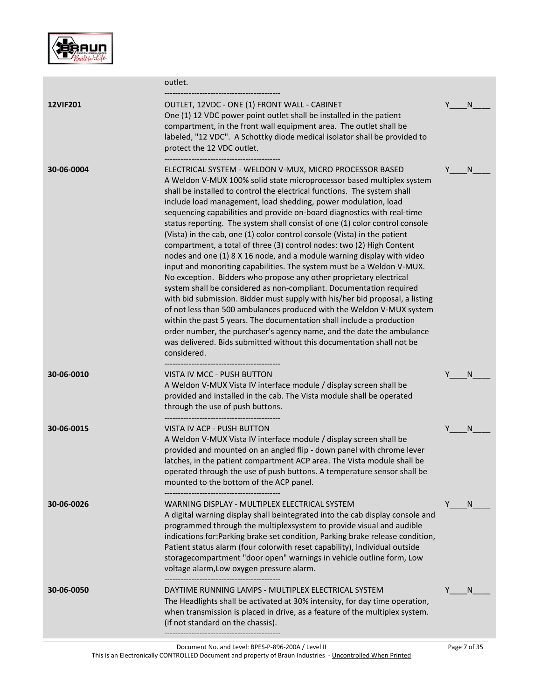

|                 | outlet.                                                                                                                                                                                                                                                                                                                                                                                                                                                                                                                                                                                                                                                                                                                                                                                                                                                                                                                                                                                                                                                                                                                                                                                                                                                                                          |         |
|-----------------|--------------------------------------------------------------------------------------------------------------------------------------------------------------------------------------------------------------------------------------------------------------------------------------------------------------------------------------------------------------------------------------------------------------------------------------------------------------------------------------------------------------------------------------------------------------------------------------------------------------------------------------------------------------------------------------------------------------------------------------------------------------------------------------------------------------------------------------------------------------------------------------------------------------------------------------------------------------------------------------------------------------------------------------------------------------------------------------------------------------------------------------------------------------------------------------------------------------------------------------------------------------------------------------------------|---------|
| <b>12VIF201</b> | OUTLET, 12VDC - ONE (1) FRONT WALL - CABINET<br>One (1) 12 VDC power point outlet shall be installed in the patient<br>compartment, in the front wall equipment area. The outlet shall be<br>labeled, "12 VDC". A Schottky diode medical isolator shall be provided to<br>protect the 12 VDC outlet.                                                                                                                                                                                                                                                                                                                                                                                                                                                                                                                                                                                                                                                                                                                                                                                                                                                                                                                                                                                             | N.      |
| 30-06-0004      | ELECTRICAL SYSTEM - WELDON V-MUX, MICRO PROCESSOR BASED<br>A Weldon V-MUX 100% solid state microprocessor based multiplex system<br>shall be installed to control the electrical functions. The system shall<br>include load management, load shedding, power modulation, load<br>sequencing capabilities and provide on-board diagnostics with real-time<br>status reporting. The system shall consist of one (1) color control console<br>(Vista) in the cab, one (1) color control console (Vista) in the patient<br>compartment, a total of three (3) control nodes: two (2) High Content<br>nodes and one (1) 8 X 16 node, and a module warning display with video<br>input and monoriting capabilities. The system must be a Weldon V-MUX.<br>No exception. Bidders who propose any other proprietary electrical<br>system shall be considered as non-compliant. Documentation required<br>with bid submission. Bidder must supply with his/her bid proposal, a listing<br>of not less than 500 ambulances produced with the Weldon V-MUX system<br>within the past 5 years. The documentation shall include a production<br>order number, the purchaser's agency name, and the date the ambulance<br>was delivered. Bids submitted without this documentation shall not be<br>considered. | N.      |
| 30-06-0010      | VISTA IV MCC - PUSH BUTTON<br>A Weldon V-MUX Vista IV interface module / display screen shall be<br>provided and installed in the cab. The Vista module shall be operated<br>through the use of push buttons.                                                                                                                                                                                                                                                                                                                                                                                                                                                                                                                                                                                                                                                                                                                                                                                                                                                                                                                                                                                                                                                                                    | Y<br>N  |
| 30-06-0015      | VISTA IV ACP - PUSH BUTTON<br>A Weldon V-MUX Vista IV interface module / display screen shall be<br>provided and mounted on an angled flip - down panel with chrome lever<br>latches, in the patient compartment ACP area. The Vista module shall be<br>operated through the use of push buttons. A temperature sensor shall be<br>mounted to the bottom of the ACP panel.                                                                                                                                                                                                                                                                                                                                                                                                                                                                                                                                                                                                                                                                                                                                                                                                                                                                                                                       | N       |
| 30-06-0026      | WARNING DISPLAY - MULTIPLEX ELECTRICAL SYSTEM<br>A digital warning display shall beintegrated into the cab display console and<br>programmed through the multiplexsystem to provide visual and audible<br>indications for: Parking brake set condition, Parking brake release condition,<br>Patient status alarm (four colorwith reset capability), Individual outside<br>storagecompartment "door open" warnings in vehicle outline form, Low<br>voltage alarm, Low oxygen pressure alarm.                                                                                                                                                                                                                                                                                                                                                                                                                                                                                                                                                                                                                                                                                                                                                                                                      | Y<br>N. |
| 30-06-0050      | DAYTIME RUNNING LAMPS - MULTIPLEX ELECTRICAL SYSTEM<br>The Headlights shall be activated at 30% intensity, for day time operation,<br>when transmission is placed in drive, as a feature of the multiplex system.<br>(if not standard on the chassis).                                                                                                                                                                                                                                                                                                                                                                                                                                                                                                                                                                                                                                                                                                                                                                                                                                                                                                                                                                                                                                           | N.      |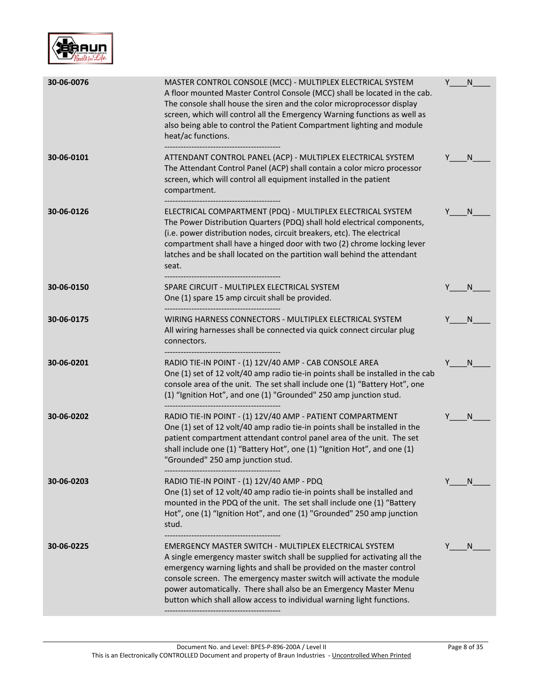

| 30-06-0076 | MASTER CONTROL CONSOLE (MCC) - MULTIPLEX ELECTRICAL SYSTEM<br>A floor mounted Master Control Console (MCC) shall be located in the cab.<br>The console shall house the siren and the color microprocessor display<br>screen, which will control all the Emergency Warning functions as well as<br>also being able to control the Patient Compartment lighting and module<br>heat/ac functions.                                    | Y | N  |
|------------|-----------------------------------------------------------------------------------------------------------------------------------------------------------------------------------------------------------------------------------------------------------------------------------------------------------------------------------------------------------------------------------------------------------------------------------|---|----|
| 30-06-0101 | ATTENDANT CONTROL PANEL (ACP) - MULTIPLEX ELECTRICAL SYSTEM<br>The Attendant Control Panel (ACP) shall contain a color micro processor<br>screen, which will control all equipment installed in the patient<br>compartment.                                                                                                                                                                                                       |   | N  |
| 30-06-0126 | ELECTRICAL COMPARTMENT (PDQ) - MULTIPLEX ELECTRICAL SYSTEM<br>The Power Distribution Quarters (PDQ) shall hold electrical components,<br>(i.e. power distribution nodes, circuit breakers, etc). The electrical<br>compartment shall have a hinged door with two (2) chrome locking lever<br>latches and be shall located on the partition wall behind the attendant<br>seat.                                                     |   | N  |
| 30-06-0150 | SPARE CIRCUIT - MULTIPLEX ELECTRICAL SYSTEM<br>One (1) spare 15 amp circuit shall be provided.                                                                                                                                                                                                                                                                                                                                    |   | N  |
| 30-06-0175 | WIRING HARNESS CONNECTORS - MULTIPLEX ELECTRICAL SYSTEM<br>All wiring harnesses shall be connected via quick connect circular plug<br>connectors.                                                                                                                                                                                                                                                                                 |   | N  |
| 30-06-0201 | RADIO TIE-IN POINT - (1) 12V/40 AMP - CAB CONSOLE AREA<br>One (1) set of 12 volt/40 amp radio tie-in points shall be installed in the cab<br>console area of the unit. The set shall include one (1) "Battery Hot", one<br>(1) "Ignition Hot", and one (1) "Grounded" 250 amp junction stud.                                                                                                                                      |   | N. |
| 30-06-0202 | RADIO TIE-IN POINT - (1) 12V/40 AMP - PATIENT COMPARTMENT<br>One (1) set of 12 volt/40 amp radio tie-in points shall be installed in the<br>patient compartment attendant control panel area of the unit. The set<br>shall include one (1) "Battery Hot", one (1) "Ignition Hot", and one (1)<br>"Grounded" 250 amp junction stud.                                                                                                |   | N  |
| 30-06-0203 | RADIO TIE-IN POINT - (1) 12V/40 AMP - PDQ<br>One (1) set of 12 volt/40 amp radio tie-in points shall be installed and<br>mounted in the PDQ of the unit. The set shall include one (1) "Battery<br>Hot", one (1) "Ignition Hot", and one (1) "Grounded" 250 amp junction<br>stud.                                                                                                                                                 |   | N  |
| 30-06-0225 | EMERGENCY MASTER SWITCH - MULTIPLEX ELECTRICAL SYSTEM<br>A single emergency master switch shall be supplied for activating all the<br>emergency warning lights and shall be provided on the master control<br>console screen. The emergency master switch will activate the module<br>power automatically. There shall also be an Emergency Master Menu<br>button which shall allow access to individual warning light functions. |   | N  |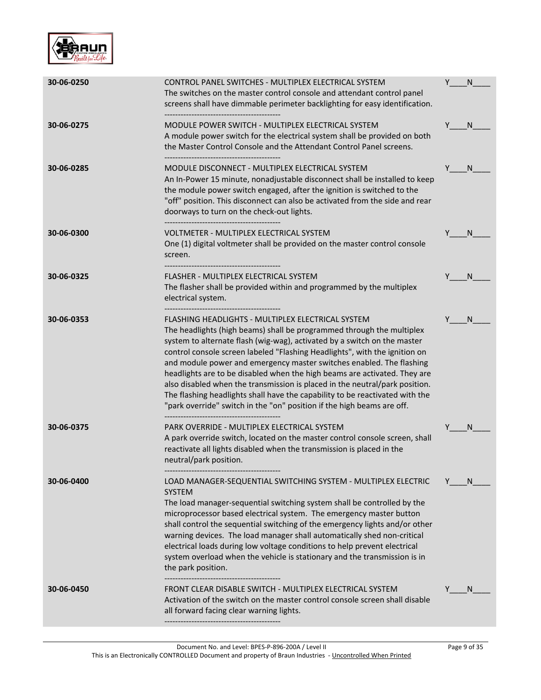

| 30-06-0250 | CONTROL PANEL SWITCHES - MULTIPLEX ELECTRICAL SYSTEM<br>The switches on the master control console and attendant control panel<br>screens shall have dimmable perimeter backlighting for easy identification.                                                                                                                                                                                                                                                                                                                                                                                                                                                                      |   | N.           |
|------------|------------------------------------------------------------------------------------------------------------------------------------------------------------------------------------------------------------------------------------------------------------------------------------------------------------------------------------------------------------------------------------------------------------------------------------------------------------------------------------------------------------------------------------------------------------------------------------------------------------------------------------------------------------------------------------|---|--------------|
| 30-06-0275 | MODULE POWER SWITCH - MULTIPLEX ELECTRICAL SYSTEM<br>A module power switch for the electrical system shall be provided on both<br>the Master Control Console and the Attendant Control Panel screens.                                                                                                                                                                                                                                                                                                                                                                                                                                                                              |   | N.           |
| 30-06-0285 | MODULE DISCONNECT - MULTIPLEX ELECTRICAL SYSTEM<br>An In-Power 15 minute, nonadjustable disconnect shall be installed to keep<br>the module power switch engaged, after the ignition is switched to the<br>"off" position. This disconnect can also be activated from the side and rear<br>doorways to turn on the check-out lights.                                                                                                                                                                                                                                                                                                                                               | Y | N.           |
| 30-06-0300 | VOLTMETER - MULTIPLEX ELECTRICAL SYSTEM<br>One (1) digital voltmeter shall be provided on the master control console<br>screen.                                                                                                                                                                                                                                                                                                                                                                                                                                                                                                                                                    |   | N            |
| 30-06-0325 | FLASHER - MULTIPLEX ELECTRICAL SYSTEM<br>The flasher shall be provided within and programmed by the multiplex<br>electrical system.                                                                                                                                                                                                                                                                                                                                                                                                                                                                                                                                                | Y | N.           |
| 30-06-0353 | FLASHING HEADLIGHTS - MULTIPLEX ELECTRICAL SYSTEM<br>The headlights (high beams) shall be programmed through the multiplex<br>system to alternate flash (wig-wag), activated by a switch on the master<br>control console screen labeled "Flashing Headlights", with the ignition on<br>and module power and emergency master switches enabled. The flashing<br>headlights are to be disabled when the high beams are activated. They are<br>also disabled when the transmission is placed in the neutral/park position.<br>The flashing headlights shall have the capability to be reactivated with the<br>"park override" switch in the "on" position if the high beams are off. |   | <sub>N</sub> |
| 30-06-0375 | PARK OVERRIDE - MULTIPLEX ELECTRICAL SYSTEM<br>A park override switch, located on the master control console screen, shall<br>reactivate all lights disabled when the transmission is placed in the<br>neutral/park position.                                                                                                                                                                                                                                                                                                                                                                                                                                                      | Y | N            |
| 30-06-0400 | LOAD MANAGER-SEQUENTIAL SWITCHING SYSTEM - MULTIPLEX ELECTRIC<br><b>SYSTEM</b><br>The load manager-sequential switching system shall be controlled by the<br>microprocessor based electrical system. The emergency master button<br>shall control the sequential switching of the emergency lights and/or other<br>warning devices. The load manager shall automatically shed non-critical<br>electrical loads during low voltage conditions to help prevent electrical<br>system overload when the vehicle is stationary and the transmission is in<br>the park position.                                                                                                         |   | N.           |
| 30-06-0450 | FRONT CLEAR DISABLE SWITCH - MULTIPLEX ELECTRICAL SYSTEM<br>Activation of the switch on the master control console screen shall disable<br>all forward facing clear warning lights.                                                                                                                                                                                                                                                                                                                                                                                                                                                                                                |   | N.           |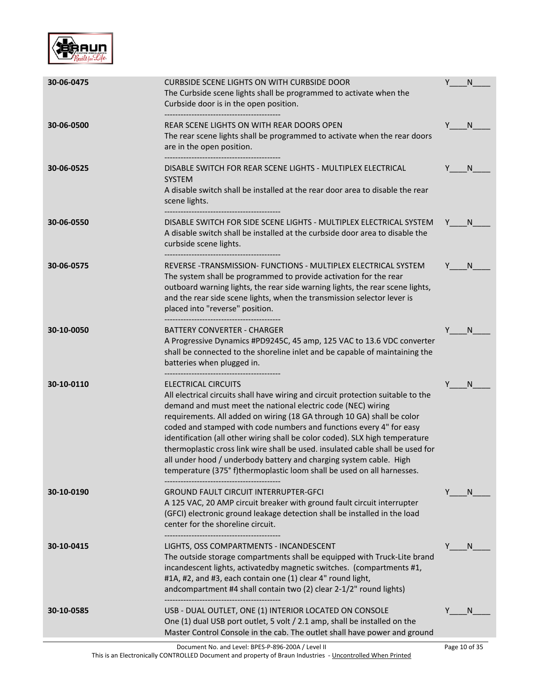

| 30-06-0475 | CURBSIDE SCENE LIGHTS ON WITH CURBSIDE DOOR<br>The Curbside scene lights shall be programmed to activate when the<br>Curbside door is in the open position.<br>---------------------------                                                                                                                                                                                                                                                                                                                                                                                                                                                        | Y             | N            |
|------------|---------------------------------------------------------------------------------------------------------------------------------------------------------------------------------------------------------------------------------------------------------------------------------------------------------------------------------------------------------------------------------------------------------------------------------------------------------------------------------------------------------------------------------------------------------------------------------------------------------------------------------------------------|---------------|--------------|
| 30-06-0500 | REAR SCENE LIGHTS ON WITH REAR DOORS OPEN<br>The rear scene lights shall be programmed to activate when the rear doors<br>are in the open position.                                                                                                                                                                                                                                                                                                                                                                                                                                                                                               | Y             | N            |
| 30-06-0525 | DISABLE SWITCH FOR REAR SCENE LIGHTS - MULTIPLEX ELECTRICAL<br><b>SYSTEM</b><br>A disable switch shall be installed at the rear door area to disable the rear<br>scene lights.                                                                                                                                                                                                                                                                                                                                                                                                                                                                    |               | N.           |
| 30-06-0550 | DISABLE SWITCH FOR SIDE SCENE LIGHTS - MULTIPLEX ELECTRICAL SYSTEM<br>A disable switch shall be installed at the curbside door area to disable the<br>curbside scene lights.                                                                                                                                                                                                                                                                                                                                                                                                                                                                      | Y             | <sup>N</sup> |
| 30-06-0575 | REVERSE -TRANSMISSION- FUNCTIONS - MULTIPLEX ELECTRICAL SYSTEM<br>The system shall be programmed to provide activation for the rear<br>outboard warning lights, the rear side warning lights, the rear scene lights,<br>and the rear side scene lights, when the transmission selector lever is<br>placed into "reverse" position.                                                                                                                                                                                                                                                                                                                |               | <sup>N</sup> |
| 30-10-0050 | <b>BATTERY CONVERTER - CHARGER</b><br>A Progressive Dynamics #PD9245C, 45 amp, 125 VAC to 13.6 VDC converter<br>shall be connected to the shoreline inlet and be capable of maintaining the<br>batteries when plugged in.                                                                                                                                                                                                                                                                                                                                                                                                                         |               | <sub>N</sub> |
| 30-10-0110 | <b>ELECTRICAL CIRCUITS</b><br>All electrical circuits shall have wiring and circuit protection suitable to the<br>demand and must meet the national electric code (NEC) wiring<br>requirements. All added on wiring (18 GA through 10 GA) shall be color<br>coded and stamped with code numbers and functions every 4" for easy<br>identification (all other wiring shall be color coded). SLX high temperature<br>thermoplastic cross link wire shall be used. insulated cable shall be used for<br>all under hood / underbody battery and charging system cable. High<br>temperature (375° f)thermoplastic loom shall be used on all harnesses. | Y             | N            |
| 30-10-0190 | <b>GROUND FAULT CIRCUIT INTERRUPTER-GFCI</b><br>A 125 VAC, 20 AMP circuit breaker with ground fault circuit interrupter<br>(GFCI) electronic ground leakage detection shall be installed in the load<br>center for the shoreline circuit.                                                                                                                                                                                                                                                                                                                                                                                                         |               | <sup>N</sup> |
| 30-10-0415 | LIGHTS, OSS COMPARTMENTS - INCANDESCENT<br>The outside storage compartments shall be equipped with Truck-Lite brand<br>incandescent lights, activatedby magnetic switches. (compartments #1,<br>#1A, #2, and #3, each contain one (1) clear 4" round light,<br>andcompartment #4 shall contain two (2) clear 2-1/2" round lights)                                                                                                                                                                                                                                                                                                                 |               | <sub>N</sub> |
| 30-10-0585 | USB - DUAL OUTLET, ONE (1) INTERIOR LOCATED ON CONSOLE<br>One (1) dual USB port outlet, 5 volt / 2.1 amp, shall be installed on the<br>Master Control Console in the cab. The outlet shall have power and ground                                                                                                                                                                                                                                                                                                                                                                                                                                  |               | N            |
|            | Document No. and Level: BPES-P-896-200A / Level II                                                                                                                                                                                                                                                                                                                                                                                                                                                                                                                                                                                                | Page 10 of 35 |              |

This is an Electronically CONTROLLED Document and property of Braun Industries - <u>Uncontrolled When Printed</u>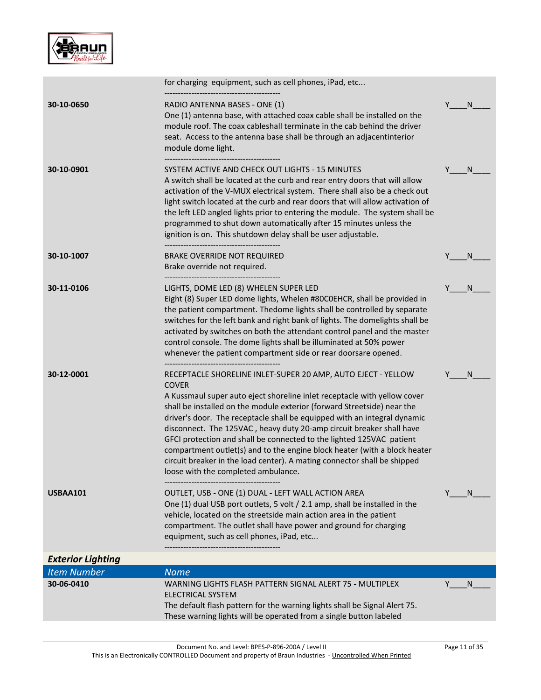

|                          | for charging equipment, such as cell phones, iPad, etc                                                                                                                                                                                                                                                                                                                                                                                                                                                                                                                                                                                                          |        |
|--------------------------|-----------------------------------------------------------------------------------------------------------------------------------------------------------------------------------------------------------------------------------------------------------------------------------------------------------------------------------------------------------------------------------------------------------------------------------------------------------------------------------------------------------------------------------------------------------------------------------------------------------------------------------------------------------------|--------|
| 30-10-0650               | RADIO ANTENNA BASES - ONE (1)<br>One (1) antenna base, with attached coax cable shall be installed on the<br>module roof. The coax cableshall terminate in the cab behind the driver<br>seat. Access to the antenna base shall be through an adjacentinterior<br>module dome light.                                                                                                                                                                                                                                                                                                                                                                             | N      |
| 30-10-0901               | SYSTEM ACTIVE AND CHECK OUT LIGHTS - 15 MINUTES<br>A switch shall be located at the curb and rear entry doors that will allow<br>activation of the V-MUX electrical system. There shall also be a check out<br>light switch located at the curb and rear doors that will allow activation of<br>the left LED angled lights prior to entering the module. The system shall be<br>programmed to shut down automatically after 15 minutes unless the<br>ignition is on. This shutdown delay shall be user adjustable.                                                                                                                                              | N      |
| 30-10-1007               | <b>BRAKE OVERRIDE NOT REQUIRED</b><br>Brake override not required.                                                                                                                                                                                                                                                                                                                                                                                                                                                                                                                                                                                              | Y<br>N |
| 30-11-0106               | LIGHTS, DOME LED (8) WHELEN SUPER LED<br>Eight (8) Super LED dome lights, Whelen #80C0EHCR, shall be provided in<br>the patient compartment. Thedome lights shall be controlled by separate<br>switches for the left bank and right bank of lights. The domelights shall be<br>activated by switches on both the attendant control panel and the master<br>control console. The dome lights shall be illuminated at 50% power<br>whenever the patient compartment side or rear doorsare opened.<br>-------------------------------------                                                                                                                        | N<br>Y |
| 30-12-0001               | RECEPTACLE SHORELINE INLET-SUPER 20 AMP, AUTO EJECT - YELLOW<br><b>COVER</b><br>A Kussmaul super auto eject shoreline inlet receptacle with yellow cover<br>shall be installed on the module exterior (forward Streetside) near the<br>driver's door. The receptacle shall be equipped with an integral dynamic<br>disconnect. The 125VAC, heavy duty 20-amp circuit breaker shall have<br>GFCI protection and shall be connected to the lighted 125VAC patient<br>compartment outlet(s) and to the engine block heater (with a block heater<br>circuit breaker in the load center). A mating connector shall be shipped<br>loose with the completed ambulance. | N      |
| USBAA101                 | OUTLET, USB - ONE (1) DUAL - LEFT WALL ACTION AREA<br>One (1) dual USB port outlets, 5 volt / 2.1 amp, shall be installed in the<br>vehicle, located on the streetside main action area in the patient<br>compartment. The outlet shall have power and ground for charging<br>equipment, such as cell phones, iPad, etc<br>                                                                                                                                                                                                                                                                                                                                     | N      |
| <b>Exterior Lighting</b> |                                                                                                                                                                                                                                                                                                                                                                                                                                                                                                                                                                                                                                                                 |        |
| <b>Item Number</b>       | <b>Name</b>                                                                                                                                                                                                                                                                                                                                                                                                                                                                                                                                                                                                                                                     |        |
| 30-06-0410               | WARNING LIGHTS FLASH PATTERN SIGNAL ALERT 75 - MULTIPLEX<br>ELECTRICAL SYSTEM<br>The default flash pattern for the warning lights shall be Signal Alert 75.<br>These warning lights will be operated from a single button labeled                                                                                                                                                                                                                                                                                                                                                                                                                               | N      |
|                          |                                                                                                                                                                                                                                                                                                                                                                                                                                                                                                                                                                                                                                                                 |        |

This is an Electronically CONTROLLED Document and property of Braun Industries - Uncontrolled When Printed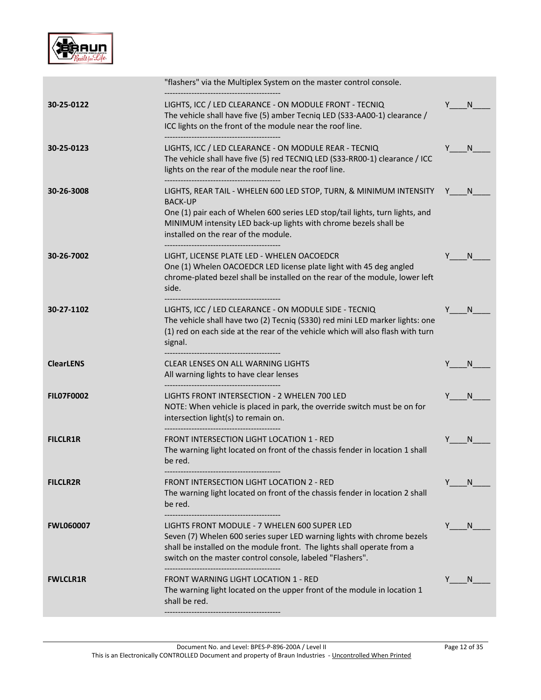

|                   | "flashers" via the Multiplex System on the master control console.                                                                                                                                                                                                                |          |
|-------------------|-----------------------------------------------------------------------------------------------------------------------------------------------------------------------------------------------------------------------------------------------------------------------------------|----------|
| 30-25-0122        | LIGHTS, ICC / LED CLEARANCE - ON MODULE FRONT - TECNIQ<br>The vehicle shall have five (5) amber Tecniq LED (S33-AA00-1) clearance /<br>ICC lights on the front of the module near the roof line.                                                                                  | N        |
| 30-25-0123        | LIGHTS, ICC / LED CLEARANCE - ON MODULE REAR - TECNIQ<br>The vehicle shall have five (5) red TECNIQ LED (S33-RR00-1) clearance / ICC<br>lights on the rear of the module near the roof line.                                                                                      | N.<br>Y  |
| 30-26-3008        | LIGHTS, REAR TAIL - WHELEN 600 LED STOP, TURN, & MINIMUM INTENSITY<br><b>BACK-UP</b><br>One (1) pair each of Whelen 600 series LED stop/tail lights, turn lights, and<br>MINIMUM intensity LED back-up lights with chrome bezels shall be<br>installed on the rear of the module. | N.<br>Y  |
| 30-26-7002        | LIGHT, LICENSE PLATE LED - WHELEN OACOEDCR<br>One (1) Whelen OACOEDCR LED license plate light with 45 deg angled<br>chrome-plated bezel shall be installed on the rear of the module, lower left<br>side.                                                                         | N        |
| 30-27-1102        | LIGHTS, ICC / LED CLEARANCE - ON MODULE SIDE - TECNIQ<br>The vehicle shall have two (2) Tecniq (S330) red mini LED marker lights: one<br>(1) red on each side at the rear of the vehicle which will also flash with turn<br>signal.<br>---------------------------------          | N        |
| <b>ClearLENS</b>  | <b>CLEAR LENSES ON ALL WARNING LIGHTS</b><br>All warning lights to have clear lenses                                                                                                                                                                                              | N        |
| <b>FILO7F0002</b> | LIGHTS FRONT INTERSECTION - 2 WHELEN 700 LED<br>NOTE: When vehicle is placed in park, the override switch must be on for<br>intersection light(s) to remain on.                                                                                                                   | N<br>Y   |
| <b>FILCLR1R</b>   | FRONT INTERSECTION LIGHT LOCATION 1 - RED<br>The warning light located on front of the chassis fender in location 1 shall<br>be red.                                                                                                                                              | N<br>Y   |
| <b>FILCLR2R</b>   | <b>FRONT INTERSECTION LIGHT LOCATION 2 - RED</b><br>The warning light located on front of the chassis fender in location 2 shall<br>be red.                                                                                                                                       | Y<br>N   |
| <b>FWL060007</b>  | LIGHTS FRONT MODULE - 7 WHELEN 600 SUPER LED<br>Seven (7) Whelen 600 series super LED warning lights with chrome bezels<br>shall be installed on the module front. The lights shall operate from a<br>switch on the master control console, labeled "Flashers".                   | Y.<br>N. |
| <b>FWLCLR1R</b>   | <b>FRONT WARNING LIGHT LOCATION 1 - RED</b><br>The warning light located on the upper front of the module in location 1<br>shall be red.                                                                                                                                          | N        |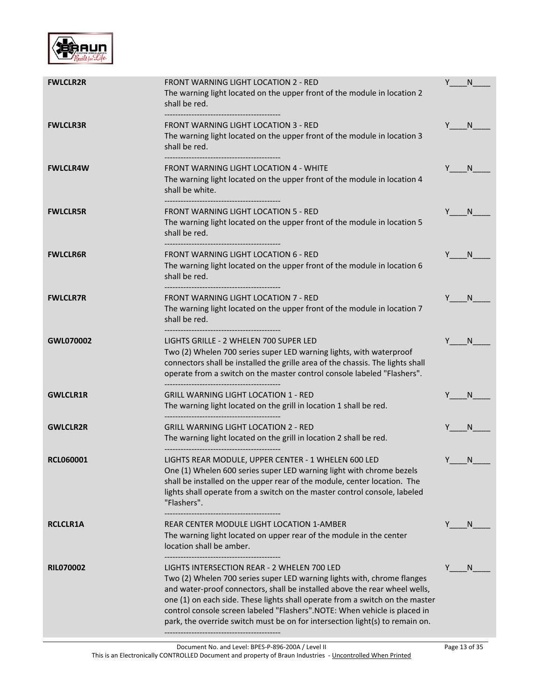

| <b>FWLCLR2R</b>  | FRONT WARNING LIGHT LOCATION 2 - RED<br>The warning light located on the upper front of the module in location 2<br>shall be red.                                                                                                                                                                                                                                                                                                                 | Y   | N.             |
|------------------|---------------------------------------------------------------------------------------------------------------------------------------------------------------------------------------------------------------------------------------------------------------------------------------------------------------------------------------------------------------------------------------------------------------------------------------------------|-----|----------------|
| <b>FWLCLR3R</b>  | FRONT WARNING LIGHT LOCATION 3 - RED<br>The warning light located on the upper front of the module in location 3<br>shall be red.                                                                                                                                                                                                                                                                                                                 | Y   | N.             |
| <b>FWLCLR4W</b>  | <b>FRONT WARNING LIGHT LOCATION 4 - WHITE</b><br>The warning light located on the upper front of the module in location 4<br>shall be white.<br>-------------------------------------                                                                                                                                                                                                                                                             | Y N |                |
| <b>FWLCLR5R</b>  | FRONT WARNING LIGHT LOCATION 5 - RED<br>The warning light located on the upper front of the module in location 5<br>shall be red.                                                                                                                                                                                                                                                                                                                 | Y   | N              |
| <b>FWLCLR6R</b>  | <b>FRONT WARNING LIGHT LOCATION 6 - RED</b><br>The warning light located on the upper front of the module in location 6<br>shall be red.                                                                                                                                                                                                                                                                                                          | Y   | $\blacksquare$ |
| <b>FWLCLR7R</b>  | <b>FRONT WARNING LIGHT LOCATION 7 - RED</b><br>The warning light located on the upper front of the module in location 7<br>shall be red.                                                                                                                                                                                                                                                                                                          | Y   | N.             |
| GWL070002        | -----------------------------------<br>LIGHTS GRILLE - 2 WHELEN 700 SUPER LED<br>Two (2) Whelen 700 series super LED warning lights, with waterproof<br>connectors shall be installed the grille area of the chassis. The lights shall<br>operate from a switch on the master control console labeled "Flashers".                                                                                                                                 | Y   | N.             |
| <b>GWLCLR1R</b>  | <b>GRILL WARNING LIGHT LOCATION 1 - RED</b><br>The warning light located on the grill in location 1 shall be red.                                                                                                                                                                                                                                                                                                                                 |     | N.             |
| <b>GWLCLR2R</b>  | <b>GRILL WARNING LIGHT LOCATION 2 - RED</b><br>The warning light located on the grill in location 2 shall be red.                                                                                                                                                                                                                                                                                                                                 |     | N.             |
| <b>RCL060001</b> | LIGHTS REAR MODULE, UPPER CENTER - 1 WHELEN 600 LED<br>One (1) Whelen 600 series super LED warning light with chrome bezels<br>shall be installed on the upper rear of the module, center location. The<br>lights shall operate from a switch on the master control console, labeled<br>"Flashers".                                                                                                                                               |     | N              |
| <b>RCLCLR1A</b>  | <b>REAR CENTER MODULE LIGHT LOCATION 1-AMBER</b><br>The warning light located on upper rear of the module in the center<br>location shall be amber.                                                                                                                                                                                                                                                                                               | Y   | N.             |
| <b>RIL070002</b> | LIGHTS INTERSECTION REAR - 2 WHELEN 700 LED<br>Two (2) Whelen 700 series super LED warning lights with, chrome flanges<br>and water-proof connectors, shall be installed above the rear wheel wells,<br>one (1) on each side. These lights shall operate from a switch on the master<br>control console screen labeled "Flashers".NOTE: When vehicle is placed in<br>park, the override switch must be on for intersection light(s) to remain on. | Y   | <sup>N</sup>   |

This is an Electronically CONTROLLED Document and property of Braun Industries - Uncontrolled When Printed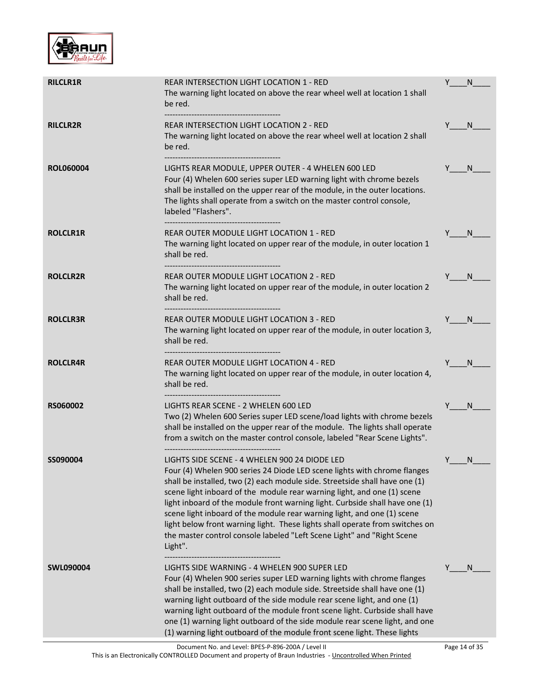

| <b>RILCLR1R</b>  | REAR INTERSECTION LIGHT LOCATION 1 - RED<br>The warning light located on above the rear wheel well at location 1 shall<br>be red.                                                                                                                                                                                                                                                                                                                                                                                                                                                                                   |   | N            |
|------------------|---------------------------------------------------------------------------------------------------------------------------------------------------------------------------------------------------------------------------------------------------------------------------------------------------------------------------------------------------------------------------------------------------------------------------------------------------------------------------------------------------------------------------------------------------------------------------------------------------------------------|---|--------------|
| <b>RILCLR2R</b>  | <b>REAR INTERSECTION LIGHT LOCATION 2 - RED</b><br>The warning light located on above the rear wheel well at location 2 shall<br>be red.                                                                                                                                                                                                                                                                                                                                                                                                                                                                            | Y | N.           |
| <b>ROL060004</b> | LIGHTS REAR MODULE, UPPER OUTER - 4 WHELEN 600 LED<br>Four (4) Whelen 600 series super LED warning light with chrome bezels<br>shall be installed on the upper rear of the module, in the outer locations.<br>The lights shall operate from a switch on the master control console,<br>labeled "Flashers".                                                                                                                                                                                                                                                                                                          |   | N.           |
| <b>ROLCLR1R</b>  | REAR OUTER MODULE LIGHT LOCATION 1 - RED<br>The warning light located on upper rear of the module, in outer location 1<br>shall be red.                                                                                                                                                                                                                                                                                                                                                                                                                                                                             |   | <sub>N</sub> |
| <b>ROLCLR2R</b>  | REAR OUTER MODULE LIGHT LOCATION 2 - RED<br>The warning light located on upper rear of the module, in outer location 2<br>shall be red.                                                                                                                                                                                                                                                                                                                                                                                                                                                                             |   | N.           |
| <b>ROLCLR3R</b>  | <b>REAR OUTER MODULE LIGHT LOCATION 3 - RED</b><br>The warning light located on upper rear of the module, in outer location 3,<br>shall be red.<br>------------------------------------                                                                                                                                                                                                                                                                                                                                                                                                                             |   | N.           |
| <b>ROLCLR4R</b>  | REAR OUTER MODULE LIGHT LOCATION 4 - RED<br>The warning light located on upper rear of the module, in outer location 4,<br>shall be red.                                                                                                                                                                                                                                                                                                                                                                                                                                                                            |   | N.           |
| <b>RS060002</b>  | LIGHTS REAR SCENE - 2 WHELEN 600 LED<br>Two (2) Whelen 600 Series super LED scene/load lights with chrome bezels<br>shall be installed on the upper rear of the module. The lights shall operate<br>from a switch on the master control console, labeled "Rear Scene Lights".                                                                                                                                                                                                                                                                                                                                       |   | N.           |
| SS090004         | LIGHTS SIDE SCENE - 4 WHELEN 900 24 DIODE LED<br>Four (4) Whelen 900 series 24 Diode LED scene lights with chrome flanges<br>shall be installed, two (2) each module side. Streetside shall have one (1)<br>scene light inboard of the module rear warning light, and one (1) scene<br>light inboard of the module front warning light. Curbside shall have one (1)<br>scene light inboard of the module rear warning light, and one (1) scene<br>light below front warning light. These lights shall operate from switches on<br>the master control console labeled "Left Scene Light" and "Right Scene<br>Light". |   | N            |
| <b>SWL090004</b> | LIGHTS SIDE WARNING - 4 WHELEN 900 SUPER LED<br>Four (4) Whelen 900 series super LED warning lights with chrome flanges<br>shall be installed, two (2) each module side. Streetside shall have one (1)<br>warning light outboard of the side module rear scene light, and one (1)<br>warning light outboard of the module front scene light. Curbside shall have<br>one (1) warning light outboard of the side module rear scene light, and one<br>(1) warning light outboard of the module front scene light. These lights                                                                                         | Y | N            |

This is an Electronically CONTROLLED Document and property of Braun Industries - Uncontrolled When Printed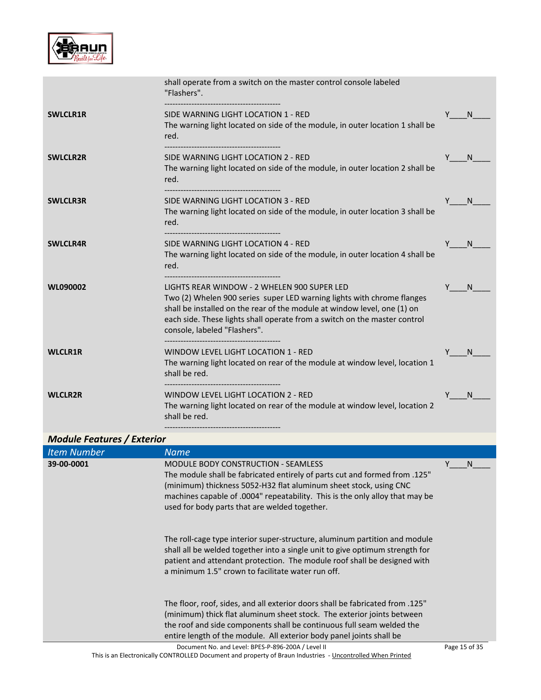

|                                   | shall operate from a switch on the master control console labeled<br>"Flashers".                                                                                                                                                                                                                               |          |
|-----------------------------------|----------------------------------------------------------------------------------------------------------------------------------------------------------------------------------------------------------------------------------------------------------------------------------------------------------------|----------|
| <b>SWLCLR1R</b>                   | SIDE WARNING LIGHT LOCATION 1 - RED<br>The warning light located on side of the module, in outer location 1 shall be<br>red.                                                                                                                                                                                   | Y N      |
| <b>SWLCLR2R</b>                   | -------------------------------------<br>SIDE WARNING LIGHT LOCATION 2 - RED<br>The warning light located on side of the module, in outer location 2 shall be<br>red.                                                                                                                                          | N.<br>Y. |
| <b>SWLCLR3R</b>                   | SIDE WARNING LIGHT LOCATION 3 - RED<br>The warning light located on side of the module, in outer location 3 shall be<br>red.                                                                                                                                                                                   | Y N      |
| <b>SWLCLR4R</b>                   | SIDE WARNING LIGHT LOCATION 4 - RED<br>The warning light located on side of the module, in outer location 4 shall be<br>red.<br>-------------------------------------                                                                                                                                          | Y N      |
| <b>WL090002</b>                   | LIGHTS REAR WINDOW - 2 WHELEN 900 SUPER LED<br>Two (2) Whelen 900 series super LED warning lights with chrome flanges<br>shall be installed on the rear of the module at window level, one (1) on<br>each side. These lights shall operate from a switch on the master control<br>console, labeled "Flashers". | Y<br>N.  |
| <b>WLCLR1R</b>                    | WINDOW LEVEL LIGHT LOCATION 1 - RED<br>The warning light located on rear of the module at window level, location 1<br>shall be red.<br>--------------------------------                                                                                                                                        | N.       |
| <b>WLCLR2R</b>                    | WINDOW LEVEL LIGHT LOCATION 2 - RED<br>The warning light located on rear of the module at window level, location 2<br>shall be red.                                                                                                                                                                            | Y<br>N.  |
| <b>Module Features / Exterior</b> |                                                                                                                                                                                                                                                                                                                |          |

| <b>Item Number</b> | <b>Name</b>                                                                                                                                                                                                                                                                                                                    |                   |
|--------------------|--------------------------------------------------------------------------------------------------------------------------------------------------------------------------------------------------------------------------------------------------------------------------------------------------------------------------------|-------------------|
| 39-00-0001         | <b>MODULE BODY CONSTRUCTION - SEAMLESS</b><br>The module shall be fabricated entirely of parts cut and formed from .125"<br>(minimum) thickness 5052-H32 flat aluminum sheet stock, using CNC<br>machines capable of .0004" repeatability. This is the only alloy that may be<br>used for body parts that are welded together. | v<br><sub>N</sub> |
|                    | The roll-cage type interior super-structure, aluminum partition and module<br>shall all be welded together into a single unit to give optimum strength for<br>patient and attendant protection. The module roof shall be designed with<br>a minimum 1.5" crown to facilitate water run off.                                    |                   |
|                    | The floor, roof, sides, and all exterior doors shall be fabricated from .125"<br>(minimum) thick flat aluminum sheet stock. The exterior joints between<br>the roof and side components shall be continuous full seam welded the<br>entire length of the module. All exterior body panel joints shall be                       |                   |
|                    | Document No. and Level: BPES-P-896-200A / Level II                                                                                                                                                                                                                                                                             | Page 15 of 35     |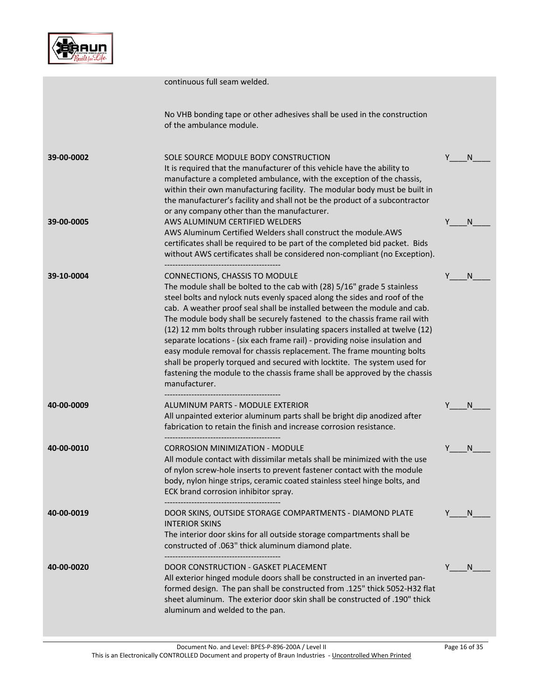

continuous full seam welded. No VHB bonding tape or other adhesives shall be used in the construction of the ambulance module. **39-00-0002** SOLE SOURCE MODULE BODY CONSTRUCTION It is required that the manufacturer of this vehicle have the ability to manufacture a completed ambulance, with the exception of the chassis, within their own manufacturing facility. The modular body must be built in the manufacturer's facility and shall not be the product of a subcontractor or any company other than the manufacturer.  $\blacksquare$ **39-00-0005** AWS ALUMINUM CERTIFIED WELDERS AWS Aluminum Certified Welders shall construct the module.AWS certificates shall be required to be part of the completed bid packet. Bids without AWS certificates shall be considered non-compliant (no Exception). -------------------------------------------  $N$ **39-10-0004** CONNECTIONS, CHASSIS TO MODULE The module shall be bolted to the cab with (28) 5/16" grade 5 stainless steel bolts and nylock nuts evenly spaced along the sides and roof of the cab. A weather proof seal shall be installed between the module and cab. The module body shall be securely fastened to the chassis frame rail with (12) 12 mm bolts through rubber insulating spacers installed at twelve (12) separate locations - (six each frame rail) - providing noise insulation and easy module removal for chassis replacement. The frame mounting bolts shall be properly torqued and secured with locktite. The system used for fastening the module to the chassis frame shall be approved by the chassis manufacturer. -------------------------------------------  $N$ **40-00-0009** ALUMINUM PARTS - MODULE EXTERIOR All unpainted exterior aluminum parts shall be bright dip anodized after fabrication to retain the finish and increase corrosion resistance. -------------------------------------------  $\mathsf{N}$ **40-00-0010** CORROSION MINIMIZATION - MODULE All module contact with dissimilar metals shall be minimized with the use of nylon screw-hole inserts to prevent fastener contact with the module body, nylon hinge strips, ceramic coated stainless steel hinge bolts, and ECK brand corrosion inhibitor spray. -------------------------------------------  $\mathsf{N}$ **40-00-0019** DOOR SKINS, OUTSIDE STORAGE COMPARTMENTS - DIAMOND PLATE INTERIOR SKINS The interior door skins for all outside storage compartments shall be constructed of .063" thick aluminum diamond plate. -------------------------------------------  $N$ **40-00-0020** DOOR CONSTRUCTION - GASKET PLACEMENT All exterior hinged module doors shall be constructed in an inverted panformed design. The pan shall be constructed from .125" thick 5052-H32 flat sheet aluminum. The exterior door skin shall be constructed of .190" thick aluminum and welded to the pan.  $Y$   $N$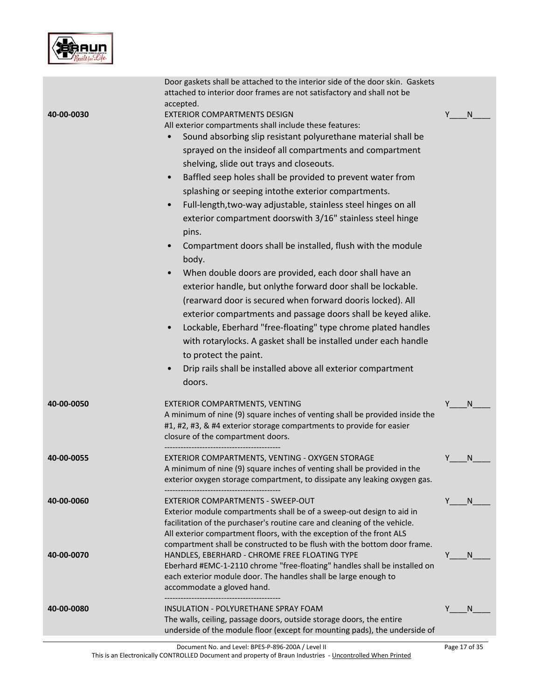

| attached to interior door frames are not satisfactory and shall not be<br>accepted.      |                                                                                                                                                                                                                                                                                                                                                                                                                                                                                                                                                                                                                                                                                                                                                                                                                                                                                                                                                                                                                                                                                                                |   |                               |
|------------------------------------------------------------------------------------------|----------------------------------------------------------------------------------------------------------------------------------------------------------------------------------------------------------------------------------------------------------------------------------------------------------------------------------------------------------------------------------------------------------------------------------------------------------------------------------------------------------------------------------------------------------------------------------------------------------------------------------------------------------------------------------------------------------------------------------------------------------------------------------------------------------------------------------------------------------------------------------------------------------------------------------------------------------------------------------------------------------------------------------------------------------------------------------------------------------------|---|-------------------------------|
| 40-00-0030<br>$\bullet$<br>$\bullet$<br>$\bullet$<br>$\bullet$<br>$\bullet$<br>$\bullet$ | <b>EXTERIOR COMPARTMENTS DESIGN</b><br>All exterior compartments shall include these features:<br>Sound absorbing slip resistant polyurethane material shall be<br>sprayed on the insideof all compartments and compartment<br>shelving, slide out trays and closeouts.<br>Baffled seep holes shall be provided to prevent water from<br>splashing or seeping intothe exterior compartments.<br>Full-length, two-way adjustable, stainless steel hinges on all<br>exterior compartment doorswith 3/16" stainless steel hinge<br>pins.<br>Compartment doors shall be installed, flush with the module<br>body.<br>When double doors are provided, each door shall have an<br>exterior handle, but onlythe forward door shall be lockable.<br>(rearward door is secured when forward dooris locked). All<br>exterior compartments and passage doors shall be keyed alike.<br>Lockable, Eberhard "free-floating" type chrome plated handles<br>with rotarylocks. A gasket shall be installed under each handle<br>to protect the paint.<br>Drip rails shall be installed above all exterior compartment<br>doors. | Y | N.                            |
| 40-00-0050                                                                               | EXTERIOR COMPARTMENTS, VENTING<br>A minimum of nine (9) square inches of venting shall be provided inside the<br>#1, #2, #3, & #4 exterior storage compartments to provide for easier<br>closure of the compartment doors.                                                                                                                                                                                                                                                                                                                                                                                                                                                                                                                                                                                                                                                                                                                                                                                                                                                                                     | Y | N                             |
| 40-00-0055                                                                               | EXTERIOR COMPARTMENTS, VENTING - OXYGEN STORAGE<br>A minimum of nine (9) square inches of venting shall be provided in the<br>exterior oxygen storage compartment, to dissipate any leaking oxygen gas.                                                                                                                                                                                                                                                                                                                                                                                                                                                                                                                                                                                                                                                                                                                                                                                                                                                                                                        |   | N                             |
| 40-00-0060                                                                               | EXTERIOR COMPARTMENTS - SWEEP-OUT<br>Exterior module compartments shall be of a sweep-out design to aid in<br>facilitation of the purchaser's routine care and cleaning of the vehicle.<br>All exterior compartment floors, with the exception of the front ALS<br>compartment shall be constructed to be flush with the bottom door frame.                                                                                                                                                                                                                                                                                                                                                                                                                                                                                                                                                                                                                                                                                                                                                                    | Y | <sup>N</sup>                  |
| 40-00-0070                                                                               | HANDLES, EBERHARD - CHROME FREE FLOATING TYPE<br>Eberhard #EMC-1-2110 chrome "free-floating" handles shall be installed on<br>each exterior module door. The handles shall be large enough to<br>accommodate a gloved hand.                                                                                                                                                                                                                                                                                                                                                                                                                                                                                                                                                                                                                                                                                                                                                                                                                                                                                    |   | N                             |
| 40-00-0080                                                                               | <b>INSULATION - POLYURETHANE SPRAY FOAM</b><br>The walls, ceiling, passage doors, outside storage doors, the entire<br>underside of the module floor (except for mounting pads), the underside of<br>Document No. and Level: BPES-P-896-200A / Level II                                                                                                                                                                                                                                                                                                                                                                                                                                                                                                                                                                                                                                                                                                                                                                                                                                                        |   | <sup>N</sup><br>Page 17 of 35 |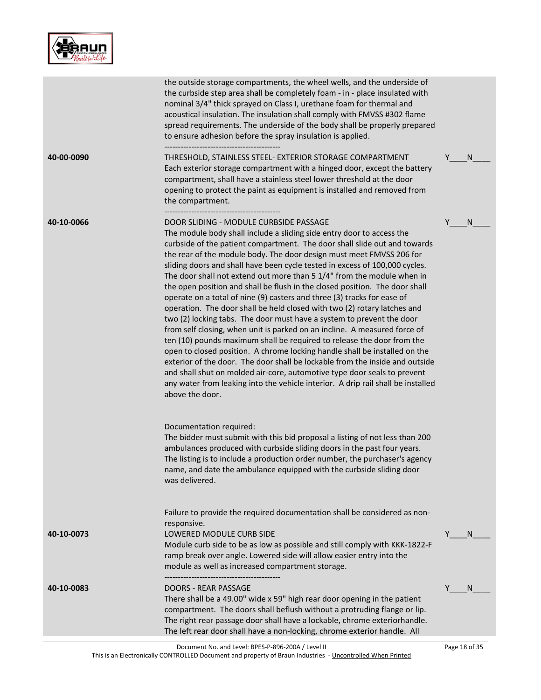

|            | the outside storage compartments, the wheel wells, and the underside of<br>the curbside step area shall be completely foam - in - place insulated with<br>nominal 3/4" thick sprayed on Class I, urethane foam for thermal and<br>acoustical insulation. The insulation shall comply with FMVSS #302 flame<br>spread requirements. The underside of the body shall be properly prepared<br>to ensure adhesion before the spray insulation is applied.                                                                                                                                                                                                                                                                                                                                                                                                                                                                                                                                                                                                                                                                                                                                                                                                |         |
|------------|------------------------------------------------------------------------------------------------------------------------------------------------------------------------------------------------------------------------------------------------------------------------------------------------------------------------------------------------------------------------------------------------------------------------------------------------------------------------------------------------------------------------------------------------------------------------------------------------------------------------------------------------------------------------------------------------------------------------------------------------------------------------------------------------------------------------------------------------------------------------------------------------------------------------------------------------------------------------------------------------------------------------------------------------------------------------------------------------------------------------------------------------------------------------------------------------------------------------------------------------------|---------|
| 40-00-0090 | THRESHOLD, STAINLESS STEEL- EXTERIOR STORAGE COMPARTMENT<br>Each exterior storage compartment with a hinged door, except the battery<br>compartment, shall have a stainless steel lower threshold at the door<br>opening to protect the paint as equipment is installed and removed from<br>the compartment.                                                                                                                                                                                                                                                                                                                                                                                                                                                                                                                                                                                                                                                                                                                                                                                                                                                                                                                                         | N<br>Y  |
| 40-10-0066 | DOOR SLIDING - MODULE CURBSIDE PASSAGE<br>The module body shall include a sliding side entry door to access the<br>curbside of the patient compartment. The door shall slide out and towards<br>the rear of the module body. The door design must meet FMVSS 206 for<br>sliding doors and shall have been cycle tested in excess of 100,000 cycles.<br>The door shall not extend out more than 5 1/4" from the module when in<br>the open position and shall be flush in the closed position. The door shall<br>operate on a total of nine (9) casters and three (3) tracks for ease of<br>operation. The door shall be held closed with two (2) rotary latches and<br>two (2) locking tabs. The door must have a system to prevent the door<br>from self closing, when unit is parked on an incline. A measured force of<br>ten (10) pounds maximum shall be required to release the door from the<br>open to closed position. A chrome locking handle shall be installed on the<br>exterior of the door. The door shall be lockable from the inside and outside<br>and shall shut on molded air-core, automotive type door seals to prevent<br>any water from leaking into the vehicle interior. A drip rail shall be installed<br>above the door. | Y<br>N  |
|            | Documentation required:<br>The bidder must submit with this bid proposal a listing of not less than 200<br>ambulances produced with curbside sliding doors in the past four years.<br>The listing is to include a production order number, the purchaser's agency<br>name, and date the ambulance equipped with the curbside sliding door<br>was delivered.                                                                                                                                                                                                                                                                                                                                                                                                                                                                                                                                                                                                                                                                                                                                                                                                                                                                                          |         |
| 40-10-0073 | Failure to provide the required documentation shall be considered as non-<br>responsive.<br>LOWERED MODULE CURB SIDE<br>Module curb side to be as low as possible and still comply with KKK-1822-F<br>ramp break over angle. Lowered side will allow easier entry into the<br>module as well as increased compartment storage.                                                                                                                                                                                                                                                                                                                                                                                                                                                                                                                                                                                                                                                                                                                                                                                                                                                                                                                       | Y<br>N. |
| 40-10-0083 | <b>DOORS - REAR PASSAGE</b><br>There shall be a 49.00" wide x 59" high rear door opening in the patient<br>compartment. The doors shall beflush without a protruding flange or lip.<br>The right rear passage door shall have a lockable, chrome exteriorhandle.<br>The left rear door shall have a non-locking, chrome exterior handle. All                                                                                                                                                                                                                                                                                                                                                                                                                                                                                                                                                                                                                                                                                                                                                                                                                                                                                                         | Y<br>N  |

This is an Electronically CONTROLLED Document and property of Braun Industries - Uncontrolled When Printed

Page 18 of 35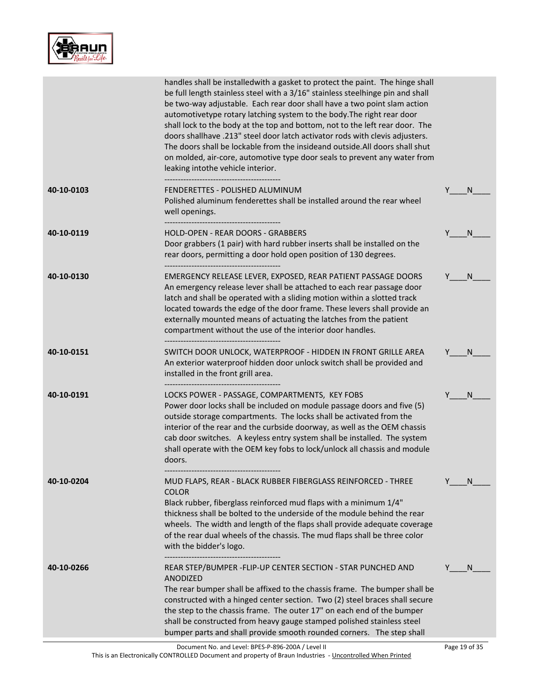

|            | handles shall be installedwith a gasket to protect the paint. The hinge shall<br>be full length stainless steel with a 3/16" stainless steelhinge pin and shall<br>be two-way adjustable. Each rear door shall have a two point slam action<br>automotivetype rotary latching system to the body. The right rear door<br>shall lock to the body at the top and bottom, not to the left rear door. The<br>doors shallhave .213" steel door latch activator rods with clevis adjusters.<br>The doors shall be lockable from the insideand outside. All doors shall shut<br>on molded, air-core, automotive type door seals to prevent any water from<br>leaking intothe vehicle interior.<br>--------------------------- |    |    |
|------------|------------------------------------------------------------------------------------------------------------------------------------------------------------------------------------------------------------------------------------------------------------------------------------------------------------------------------------------------------------------------------------------------------------------------------------------------------------------------------------------------------------------------------------------------------------------------------------------------------------------------------------------------------------------------------------------------------------------------|----|----|
| 40-10-0103 | FENDERETTES - POLISHED ALUMINUM<br>Polished aluminum fenderettes shall be installed around the rear wheel<br>well openings.                                                                                                                                                                                                                                                                                                                                                                                                                                                                                                                                                                                            | Y  | N  |
| 40-10-0119 | <b>HOLD-OPEN - REAR DOORS - GRABBERS</b><br>Door grabbers (1 pair) with hard rubber inserts shall be installed on the<br>rear doors, permitting a door hold open position of 130 degrees.<br>-----------------------------------                                                                                                                                                                                                                                                                                                                                                                                                                                                                                       | Y. | N  |
| 40-10-0130 | EMERGENCY RELEASE LEVER, EXPOSED, REAR PATIENT PASSAGE DOORS<br>An emergency release lever shall be attached to each rear passage door<br>latch and shall be operated with a sliding motion within a slotted track<br>located towards the edge of the door frame. These levers shall provide an<br>externally mounted means of actuating the latches from the patient<br>compartment without the use of the interior door handles.                                                                                                                                                                                                                                                                                     | Y  | N  |
| 40-10-0151 | -----------------------------------<br>SWITCH DOOR UNLOCK, WATERPROOF - HIDDEN IN FRONT GRILLE AREA<br>An exterior waterproof hidden door unlock switch shall be provided and<br>installed in the front grill area.                                                                                                                                                                                                                                                                                                                                                                                                                                                                                                    |    | N. |
| 40-10-0191 | LOCKS POWER - PASSAGE, COMPARTMENTS, KEY FOBS<br>Power door locks shall be included on module passage doors and five (5)<br>outside storage compartments. The locks shall be activated from the<br>interior of the rear and the curbside doorway, as well as the OEM chassis<br>cab door switches. A keyless entry system shall be installed. The system<br>shall operate with the OEM key fobs to lock/unlock all chassis and module<br>doors.                                                                                                                                                                                                                                                                        | Y  | N  |
| 40-10-0204 | MUD FLAPS, REAR - BLACK RUBBER FIBERGLASS REINFORCED - THREE<br><b>COLOR</b><br>Black rubber, fiberglass reinforced mud flaps with a minimum 1/4"<br>thickness shall be bolted to the underside of the module behind the rear<br>wheels. The width and length of the flaps shall provide adequate coverage<br>of the rear dual wheels of the chassis. The mud flaps shall be three color<br>with the bidder's logo.                                                                                                                                                                                                                                                                                                    | Y  | N. |
| 40-10-0266 | REAR STEP/BUMPER - FLIP-UP CENTER SECTION - STAR PUNCHED AND<br><b>ANODIZED</b><br>The rear bumper shall be affixed to the chassis frame. The bumper shall be<br>constructed with a hinged center section. Two (2) steel braces shall secure<br>the step to the chassis frame. The outer 17" on each end of the bumper<br>shall be constructed from heavy gauge stamped polished stainless steel<br>bumper parts and shall provide smooth rounded corners. The step shall                                                                                                                                                                                                                                              |    | N  |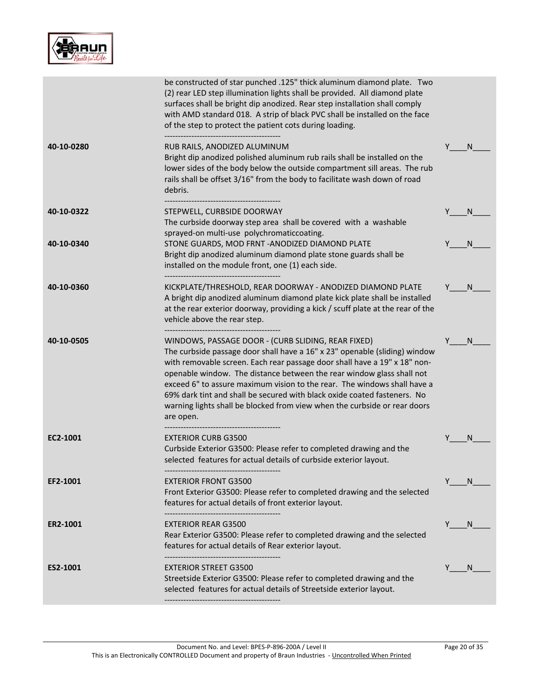

|            | be constructed of star punched .125" thick aluminum diamond plate. Two<br>(2) rear LED step illumination lights shall be provided. All diamond plate<br>surfaces shall be bright dip anodized. Rear step installation shall comply<br>with AMD standard 018. A strip of black PVC shall be installed on the face<br>of the step to protect the patient cots during loading.<br>---------------------------------                                                                                                                         |     |    |
|------------|------------------------------------------------------------------------------------------------------------------------------------------------------------------------------------------------------------------------------------------------------------------------------------------------------------------------------------------------------------------------------------------------------------------------------------------------------------------------------------------------------------------------------------------|-----|----|
| 40-10-0280 | RUB RAILS, ANODIZED ALUMINUM<br>Bright dip anodized polished aluminum rub rails shall be installed on the<br>lower sides of the body below the outside compartment sill areas. The rub<br>rails shall be offset 3/16" from the body to facilitate wash down of road<br>debris.<br>------------------------------------                                                                                                                                                                                                                   | Y   | N  |
| 40-10-0322 | STEPWELL, CURBSIDE DOORWAY<br>The curbside doorway step area shall be covered with a washable<br>sprayed-on multi-use polychromaticcoating.                                                                                                                                                                                                                                                                                                                                                                                              |     | N  |
| 40-10-0340 | STONE GUARDS, MOD FRNT - ANODIZED DIAMOND PLATE<br>Bright dip anodized aluminum diamond plate stone guards shall be<br>installed on the module front, one (1) each side.                                                                                                                                                                                                                                                                                                                                                                 |     | N  |
| 40-10-0360 | KICKPLATE/THRESHOLD, REAR DOORWAY - ANODIZED DIAMOND PLATE<br>A bright dip anodized aluminum diamond plate kick plate shall be installed<br>at the rear exterior doorway, providing a kick / scuff plate at the rear of the<br>vehicle above the rear step.                                                                                                                                                                                                                                                                              |     | N. |
| 40-10-0505 | WINDOWS, PASSAGE DOOR - (CURB SLIDING, REAR FIXED)<br>The curbside passage door shall have a 16" x 23" openable (sliding) window<br>with removable screen. Each rear passage door shall have a 19" x 18" non-<br>openable window. The distance between the rear window glass shall not<br>exceed 6" to assure maximum vision to the rear. The windows shall have a<br>69% dark tint and shall be secured with black oxide coated fasteners. No<br>warning lights shall be blocked from view when the curbside or rear doors<br>are open. | Y   | N  |
| EC2-1001   | <b>EXTERIOR CURB G3500</b><br>Curbside Exterior G3500: Please refer to completed drawing and the<br>selected features for actual details of curbside exterior layout.                                                                                                                                                                                                                                                                                                                                                                    |     | N  |
| EF2-1001   | <b>EXTERIOR FRONT G3500</b><br>Front Exterior G3500: Please refer to completed drawing and the selected<br>features for actual details of front exterior layout.                                                                                                                                                                                                                                                                                                                                                                         | Y N |    |
| ER2-1001   | <b>EXTERIOR REAR G3500</b><br>Rear Exterior G3500: Please refer to completed drawing and the selected<br>features for actual details of Rear exterior layout.                                                                                                                                                                                                                                                                                                                                                                            | Y . | N. |
| ES2-1001   | <b>EXTERIOR STREET G3500</b><br>Streetside Exterior G3500: Please refer to completed drawing and the<br>selected features for actual details of Streetside exterior layout.                                                                                                                                                                                                                                                                                                                                                              |     | N. |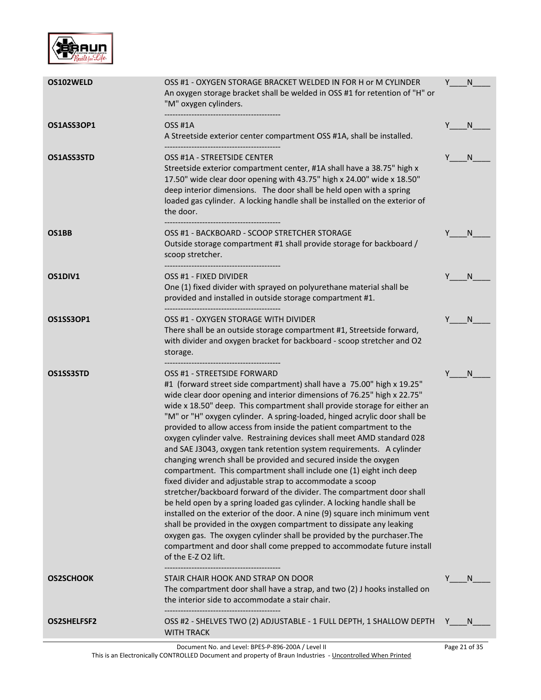

| OS102WELD          | OSS #1 - OXYGEN STORAGE BRACKET WELDED IN FOR H or M CYLINDER<br>An oxygen storage bracket shall be welded in OSS #1 for retention of "H" or<br>"M" oxygen cylinders.                                                                                                                                                                                                                                                                                                                                                                                                                                                                                                                                                                                                                                                                                                                                                                                                                                                                                                                                                                                                                                                                                           | Y | N            |
|--------------------|-----------------------------------------------------------------------------------------------------------------------------------------------------------------------------------------------------------------------------------------------------------------------------------------------------------------------------------------------------------------------------------------------------------------------------------------------------------------------------------------------------------------------------------------------------------------------------------------------------------------------------------------------------------------------------------------------------------------------------------------------------------------------------------------------------------------------------------------------------------------------------------------------------------------------------------------------------------------------------------------------------------------------------------------------------------------------------------------------------------------------------------------------------------------------------------------------------------------------------------------------------------------|---|--------------|
| OS1ASS3OP1         | OSS #1A<br>A Streetside exterior center compartment OSS #1A, shall be installed.                                                                                                                                                                                                                                                                                                                                                                                                                                                                                                                                                                                                                                                                                                                                                                                                                                                                                                                                                                                                                                                                                                                                                                                | Y | N            |
| OS1ASS3STD         | OSS #1A - STREETSIDE CENTER<br>Streetside exterior compartment center, #1A shall have a 38.75" high x<br>17.50" wide clear door opening with 43.75" high x 24.00" wide x 18.50"<br>deep interior dimensions. The door shall be held open with a spring<br>loaded gas cylinder. A locking handle shall be installed on the exterior of<br>the door.                                                                                                                                                                                                                                                                                                                                                                                                                                                                                                                                                                                                                                                                                                                                                                                                                                                                                                              | Y | <sub>N</sub> |
| OS1BB              | OSS #1 - BACKBOARD - SCOOP STRETCHER STORAGE<br>Outside storage compartment #1 shall provide storage for backboard /<br>scoop stretcher.                                                                                                                                                                                                                                                                                                                                                                                                                                                                                                                                                                                                                                                                                                                                                                                                                                                                                                                                                                                                                                                                                                                        |   | N.           |
| OS1DIV1            | OSS #1 - FIXED DIVIDER<br>One (1) fixed divider with sprayed on polyurethane material shall be<br>provided and installed in outside storage compartment #1.                                                                                                                                                                                                                                                                                                                                                                                                                                                                                                                                                                                                                                                                                                                                                                                                                                                                                                                                                                                                                                                                                                     |   | <sub>N</sub> |
| OS1SS3OP1          | OSS #1 - OXYGEN STORAGE WITH DIVIDER<br>There shall be an outside storage compartment #1, Streetside forward,<br>with divider and oxygen bracket for backboard - scoop stretcher and O2<br>storage.                                                                                                                                                                                                                                                                                                                                                                                                                                                                                                                                                                                                                                                                                                                                                                                                                                                                                                                                                                                                                                                             |   | <sub>N</sub> |
| OS1SS3STD          | OSS #1 - STREETSIDE FORWARD<br>#1 (forward street side compartment) shall have a 75.00" high x 19.25"<br>wide clear door opening and interior dimensions of 76.25" high x 22.75"<br>wide x 18.50" deep. This compartment shall provide storage for either an<br>"M" or "H" oxygen cylinder. A spring-loaded, hinged acrylic door shall be<br>provided to allow access from inside the patient compartment to the<br>oxygen cylinder valve. Restraining devices shall meet AMD standard 028<br>and SAE J3043, oxygen tank retention system requirements. A cylinder<br>changing wrench shall be provided and secured inside the oxygen<br>compartment. This compartment shall include one (1) eight inch deep<br>fixed divider and adjustable strap to accommodate a scoop<br>stretcher/backboard forward of the divider. The compartment door shall<br>be held open by a spring loaded gas cylinder. A locking handle shall be<br>installed on the exterior of the door. A nine (9) square inch minimum vent<br>shall be provided in the oxygen compartment to dissipate any leaking<br>oxygen gas. The oxygen cylinder shall be provided by the purchaser. The<br>compartment and door shall come prepped to accommodate future install<br>of the E-Z O2 lift. |   | N            |
| <b>OS2SCHOOK</b>   | STAIR CHAIR HOOK AND STRAP ON DOOR<br>The compartment door shall have a strap, and two (2) J hooks installed on<br>the interior side to accommodate a stair chair.<br>-------------------------------                                                                                                                                                                                                                                                                                                                                                                                                                                                                                                                                                                                                                                                                                                                                                                                                                                                                                                                                                                                                                                                           | Y | N            |
| <b>OS2SHELFSF2</b> | OSS #2 - SHELVES TWO (2) ADJUSTABLE - 1 FULL DEPTH, 1 SHALLOW DEPTH Y ___ N<br><b>WITH TRACK</b>                                                                                                                                                                                                                                                                                                                                                                                                                                                                                                                                                                                                                                                                                                                                                                                                                                                                                                                                                                                                                                                                                                                                                                |   |              |

Document No. and Level: BPES-P-896-200A / Level II This is an Electronically CONTROLLED Document and property of Braun Industries - <u>Uncontrolled When Printed</u>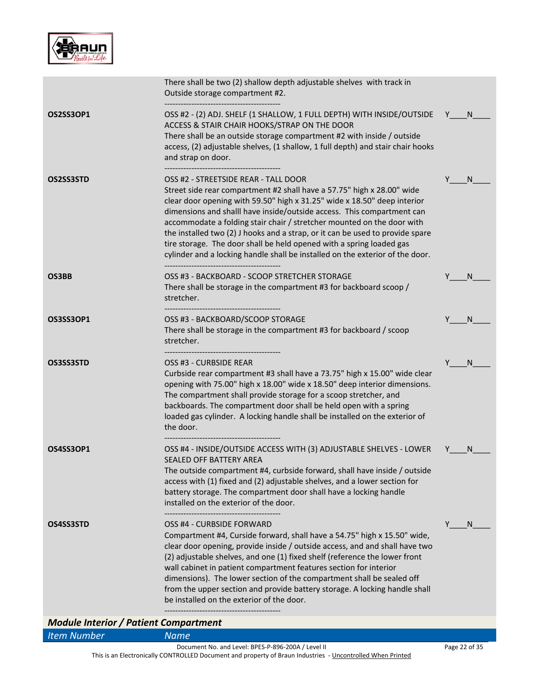

|                                              | There shall be two (2) shallow depth adjustable shelves with track in<br>Outside storage compartment #2.                                                                                                                                                                                                                                                                                                                                                                                                                                                                                 |     |   |
|----------------------------------------------|------------------------------------------------------------------------------------------------------------------------------------------------------------------------------------------------------------------------------------------------------------------------------------------------------------------------------------------------------------------------------------------------------------------------------------------------------------------------------------------------------------------------------------------------------------------------------------------|-----|---|
| OS2SS3OP1                                    | OSS #2 - (2) ADJ. SHELF (1 SHALLOW, 1 FULL DEPTH) WITH INSIDE/OUTSIDE<br>ACCESS & STAIR CHAIR HOOKS/STRAP ON THE DOOR<br>There shall be an outside storage compartment #2 with inside / outside<br>access, (2) adjustable shelves, (1 shallow, 1 full depth) and stair chair hooks<br>and strap on door.                                                                                                                                                                                                                                                                                 | Y N |   |
| OS2SS3STD                                    | OSS #2 - STREETSIDE REAR - TALL DOOR<br>Street side rear compartment #2 shall have a 57.75" high x 28.00" wide<br>clear door opening with 59.50" high x 31.25" wide x 18.50" deep interior<br>dimensions and shalll have inside/outside access. This compartment can<br>accommodate a folding stair chair / stretcher mounted on the door with<br>the installed two (2) J hooks and a strap, or it can be used to provide spare<br>tire storage. The door shall be held opened with a spring loaded gas<br>cylinder and a locking handle shall be installed on the exterior of the door. |     | N |
| OS3BB                                        | OSS #3 - BACKBOARD - SCOOP STRETCHER STORAGE<br>There shall be storage in the compartment #3 for backboard scoop /<br>stretcher.                                                                                                                                                                                                                                                                                                                                                                                                                                                         | Y   | N |
| OS3SS3OP1                                    | OSS #3 - BACKBOARD/SCOOP STORAGE<br>There shall be storage in the compartment #3 for backboard / scoop<br>stretcher.<br>------------------------------------                                                                                                                                                                                                                                                                                                                                                                                                                             | Y   | N |
| OS3SS3STD                                    | OSS #3 - CURBSIDE REAR<br>Curbside rear compartment #3 shall have a 73.75" high x 15.00" wide clear<br>opening with 75.00" high x 18.00" wide x 18.50" deep interior dimensions.<br>The compartment shall provide storage for a scoop stretcher, and<br>backboards. The compartment door shall be held open with a spring<br>loaded gas cylinder. A locking handle shall be installed on the exterior of<br>the door.                                                                                                                                                                    |     | N |
| OS4SS3OP1                                    | OSS #4 - INSIDE/OUTSIDE ACCESS WITH (3) ADJUSTABLE SHELVES - LOWER<br>SEALED OFF BATTERY AREA<br>The outside compartment #4, curbside forward, shall have inside / outside<br>access with (1) fixed and (2) adjustable shelves, and a lower section for<br>battery storage. The compartment door shall have a locking handle<br>installed on the exterior of the door.                                                                                                                                                                                                                   |     | N |
| OS4SS3STD                                    | OSS #4 - CURBSIDE FORWARD<br>Compartment #4, Curside forward, shall have a 54.75" high x 15.50" wide,<br>clear door opening, provide inside / outside access, and and shall have two<br>(2) adjustable shelves, and one (1) fixed shelf (reference the lower front<br>wall cabinet in patient compartment features section for interior<br>dimensions). The lower section of the compartment shall be sealed off<br>from the upper section and provide battery storage. A locking handle shall<br>be installed on the exterior of the door.                                              | Y   | N |
| <b>Module Interior / Patient Compartment</b> |                                                                                                                                                                                                                                                                                                                                                                                                                                                                                                                                                                                          |     |   |
| <b>Item Number</b>                           | <b>Name</b>                                                                                                                                                                                                                                                                                                                                                                                                                                                                                                                                                                              |     |   |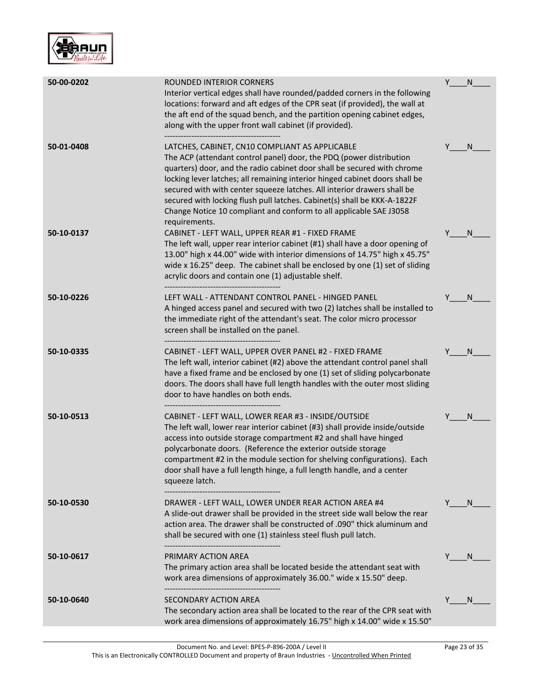

| 50-00-0202 | <b>ROUNDED INTERIOR CORNERS</b><br>Interior vertical edges shall have rounded/padded corners in the following<br>locations: forward and aft edges of the CPR seat (if provided), the wall at<br>the aft end of the squad bench, and the partition opening cabinet edges,<br>along with the upper front wall cabinet (if provided).                                                                                                                                                                                            | Y | N  |
|------------|-------------------------------------------------------------------------------------------------------------------------------------------------------------------------------------------------------------------------------------------------------------------------------------------------------------------------------------------------------------------------------------------------------------------------------------------------------------------------------------------------------------------------------|---|----|
| 50-01-0408 | LATCHES, CABINET, CN10 COMPLIANT AS APPLICABLE<br>The ACP (attendant control panel) door, the PDQ (power distribution<br>quarters) door, and the radio cabinet door shall be secured with chrome<br>locking lever latches; all remaining interior hinged cabinet doors shall be<br>secured with with center squeeze latches. All interior drawers shall be<br>secured with locking flush pull latches. Cabinet(s) shall be KKK-A-1822F<br>Change Notice 10 compliant and conform to all applicable SAE J3058<br>requirements. |   | N  |
| 50-10-0137 | CABINET - LEFT WALL, UPPER REAR #1 - FIXED FRAME<br>The left wall, upper rear interior cabinet (#1) shall have a door opening of<br>13.00" high x 44.00" wide with interior dimensions of 14.75" high x 45.75"<br>wide x 16.25" deep. The cabinet shall be enclosed by one (1) set of sliding<br>acrylic doors and contain one (1) adjustable shelf.                                                                                                                                                                          |   | N  |
| 50-10-0226 | LEFT WALL - ATTENDANT CONTROL PANEL - HINGED PANEL<br>A hinged access panel and secured with two (2) latches shall be installed to<br>the immediate right of the attendant's seat. The color micro processor<br>screen shall be installed on the panel.                                                                                                                                                                                                                                                                       |   | N  |
| 50-10-0335 | CABINET - LEFT WALL, UPPER OVER PANEL #2 - FIXED FRAME<br>The left wall, interior cabinet (#2) above the attendant control panel shall<br>have a fixed frame and be enclosed by one (1) set of sliding polycarbonate<br>doors. The doors shall have full length handles with the outer most sliding<br>door to have handles on both ends.                                                                                                                                                                                     |   | N  |
| 50-10-0513 | CABINET - LEFT WALL, LOWER REAR #3 - INSIDE/OUTSIDE<br>The left wall, lower rear interior cabinet (#3) shall provide inside/outside<br>access into outside storage compartment #2 and shall have hinged<br>polycarbonate doors. (Reference the exterior outside storage<br>compartment #2 in the module section for shelving configurations). Each<br>door shall have a full length hinge, a full length handle, and a center<br>squeeze latch.                                                                               |   | N  |
| 50-10-0530 | DRAWER - LEFT WALL, LOWER UNDER REAR ACTION AREA #4<br>A slide-out drawer shall be provided in the street side wall below the rear<br>action area. The drawer shall be constructed of .090" thick aluminum and<br>shall be secured with one (1) stainless steel flush pull latch.                                                                                                                                                                                                                                             |   | N. |
| 50-10-0617 | PRIMARY ACTION AREA<br>The primary action area shall be located beside the attendant seat with<br>work area dimensions of approximately 36.00." wide x 15.50" deep.                                                                                                                                                                                                                                                                                                                                                           |   | -N |
| 50-10-0640 | SECONDARY ACTION AREA<br>The secondary action area shall be located to the rear of the CPR seat with<br>work area dimensions of approximately 16.75" high x 14.00" wide x 15.50"                                                                                                                                                                                                                                                                                                                                              | Y | N  |

Page 23 of 35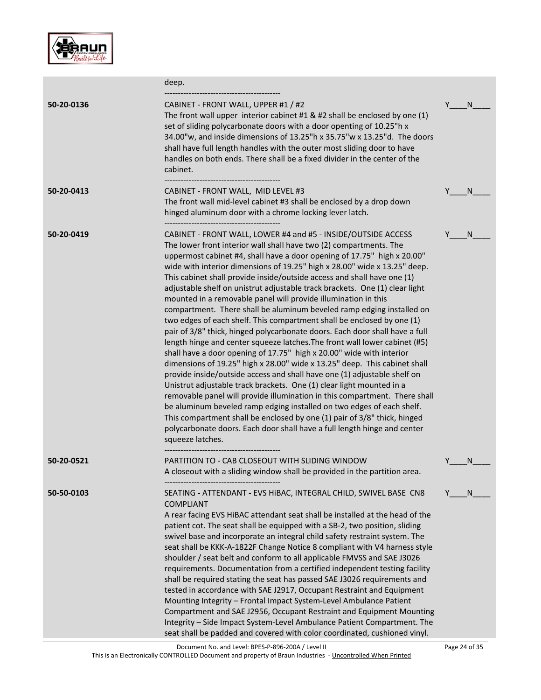

|            | deep.                                                                                                                                                                                                                                                                                                                                                                                                                                                                                                                                                                                                                                                                                                                                                                                                                                                                                                                                                                                                                                                                                                                                                                                                                                                                                                                                                                                                                                                                               |   |
|------------|-------------------------------------------------------------------------------------------------------------------------------------------------------------------------------------------------------------------------------------------------------------------------------------------------------------------------------------------------------------------------------------------------------------------------------------------------------------------------------------------------------------------------------------------------------------------------------------------------------------------------------------------------------------------------------------------------------------------------------------------------------------------------------------------------------------------------------------------------------------------------------------------------------------------------------------------------------------------------------------------------------------------------------------------------------------------------------------------------------------------------------------------------------------------------------------------------------------------------------------------------------------------------------------------------------------------------------------------------------------------------------------------------------------------------------------------------------------------------------------|---|
| 50-20-0136 | CABINET - FRONT WALL, UPPER #1 / #2<br>The front wall upper interior cabinet $#1$ & $#2$ shall be enclosed by one (1)<br>set of sliding polycarbonate doors with a door openting of 10.25"h x<br>34.00"w, and inside dimensions of 13.25"h x 35.75"w x 13.25"d. The doors<br>shall have full length handles with the outer most sliding door to have<br>handles on both ends. There shall be a fixed divider in the center of the<br>cabinet.                                                                                                                                                                                                                                                                                                                                                                                                                                                                                                                                                                                                                                                                                                                                                                                                                                                                                                                                                                                                                                       | N |
| 50-20-0413 | CABINET - FRONT WALL, MID LEVEL #3<br>The front wall mid-level cabinet #3 shall be enclosed by a drop down<br>hinged aluminum door with a chrome locking lever latch.                                                                                                                                                                                                                                                                                                                                                                                                                                                                                                                                                                                                                                                                                                                                                                                                                                                                                                                                                                                                                                                                                                                                                                                                                                                                                                               | N |
| 50-20-0419 | CABINET - FRONT WALL, LOWER #4 and #5 - INSIDE/OUTSIDE ACCESS<br>The lower front interior wall shall have two (2) compartments. The<br>uppermost cabinet #4, shall have a door opening of 17.75" high x 20.00"<br>wide with interior dimensions of 19.25" high x 28.00" wide x 13.25" deep.<br>This cabinet shall provide inside/outside access and shall have one (1)<br>adjustable shelf on unistrut adjustable track brackets. One (1) clear light<br>mounted in a removable panel will provide illumination in this<br>compartment. There shall be aluminum beveled ramp edging installed on<br>two edges of each shelf. This compartment shall be enclosed by one (1)<br>pair of 3/8" thick, hinged polycarbonate doors. Each door shall have a full<br>length hinge and center squeeze latches. The front wall lower cabinet (#5)<br>shall have a door opening of 17.75" high x 20.00" wide with interior<br>dimensions of 19.25" high x 28.00" wide x 13.25" deep. This cabinet shall<br>provide inside/outside access and shall have one (1) adjustable shelf on<br>Unistrut adjustable track brackets. One (1) clear light mounted in a<br>removable panel will provide illumination in this compartment. There shall<br>be aluminum beveled ramp edging installed on two edges of each shelf.<br>This compartment shall be enclosed by one (1) pair of 3/8" thick, hinged<br>polycarbonate doors. Each door shall have a full length hinge and center<br>squeeze latches. | N |
| 50-20-0521 | PARTITION TO - CAB CLOSEOUT WITH SLIDING WINDOW<br>A closeout with a sliding window shall be provided in the partition area.                                                                                                                                                                                                                                                                                                                                                                                                                                                                                                                                                                                                                                                                                                                                                                                                                                                                                                                                                                                                                                                                                                                                                                                                                                                                                                                                                        | N |
| 50-50-0103 | SEATING - ATTENDANT - EVS HIBAC, INTEGRAL CHILD, SWIVEL BASE CN8<br><b>COMPLIANT</b><br>A rear facing EVS HiBAC attendant seat shall be installed at the head of the<br>patient cot. The seat shall be equipped with a SB-2, two position, sliding<br>swivel base and incorporate an integral child safety restraint system. The<br>seat shall be KKK-A-1822F Change Notice 8 compliant with V4 harness style<br>shoulder / seat belt and conform to all applicable FMVSS and SAE J3026<br>requirements. Documentation from a certified independent testing facility<br>shall be required stating the seat has passed SAE J3026 requirements and<br>tested in accordance with SAE J2917, Occupant Restraint and Equipment<br>Mounting Integrity - Frontal Impact System-Level Ambulance Patient<br>Compartment and SAE J2956, Occupant Restraint and Equipment Mounting<br>Integrity - Side Impact System-Level Ambulance Patient Compartment. The<br>seat shall be padded and covered with color coordinated, cushioned vinyl.                                                                                                                                                                                                                                                                                                                                                                                                                                                     | N |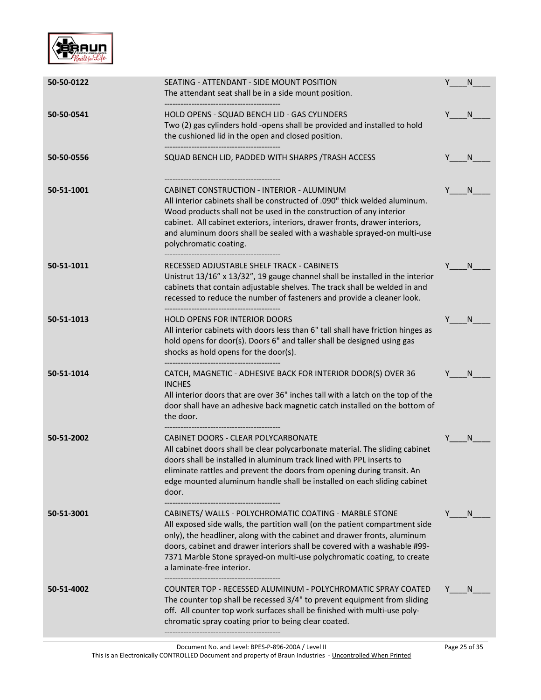

| 50-50-0122 | SEATING - ATTENDANT - SIDE MOUNT POSITION<br>The attendant seat shall be in a side mount position.<br>-------------------------------                                                                                                                                                                                                                                                                 | Y | N            |
|------------|-------------------------------------------------------------------------------------------------------------------------------------------------------------------------------------------------------------------------------------------------------------------------------------------------------------------------------------------------------------------------------------------------------|---|--------------|
| 50-50-0541 | HOLD OPENS - SQUAD BENCH LID - GAS CYLINDERS<br>Two (2) gas cylinders hold -opens shall be provided and installed to hold<br>the cushioned lid in the open and closed position.                                                                                                                                                                                                                       | Y | N.           |
| 50-50-0556 | SQUAD BENCH LID, PADDED WITH SHARPS / TRASH ACCESS                                                                                                                                                                                                                                                                                                                                                    | Y | N,           |
| 50-51-1001 | CABINET CONSTRUCTION - INTERIOR - ALUMINUM<br>All interior cabinets shall be constructed of .090" thick welded aluminum.<br>Wood products shall not be used in the construction of any interior<br>cabinet. All cabinet exteriors, interiors, drawer fronts, drawer interiors,<br>and aluminum doors shall be sealed with a washable sprayed-on multi-use<br>polychromatic coating.                   |   | N.           |
| 50-51-1011 | RECESSED ADJUSTABLE SHELF TRACK - CABINETS<br>Unistrut 13/16" x 13/32", 19 gauge channel shall be installed in the interior<br>cabinets that contain adjustable shelves. The track shall be welded in and<br>recessed to reduce the number of fasteners and provide a cleaner look.                                                                                                                   | Y | N.           |
| 50-51-1013 | <b>HOLD OPENS FOR INTERIOR DOORS</b><br>All interior cabinets with doors less than 6" tall shall have friction hinges as<br>hold opens for door(s). Doors 6" and taller shall be designed using gas<br>shocks as hold opens for the door(s).                                                                                                                                                          |   | N.           |
| 50-51-1014 | CATCH, MAGNETIC - ADHESIVE BACK FOR INTERIOR DOOR(S) OVER 36<br><b>INCHES</b><br>All interior doors that are over 36" inches tall with a latch on the top of the<br>door shall have an adhesive back magnetic catch installed on the bottom of<br>the door.<br>                                                                                                                                       |   | <sup>N</sup> |
| 50-51-2002 | CABINET DOORS - CLEAR POLYCARBONATE<br>All cabinet doors shall be clear polycarbonate material. The sliding cabinet<br>doors shall be installed in aluminum track lined with PPL inserts to<br>eliminate rattles and prevent the doors from opening during transit. An<br>edge mounted aluminum handle shall be installed on each sliding cabinet<br>door.                                            | Y | N            |
| 50-51-3001 | CABINETS/WALLS - POLYCHROMATIC COATING - MARBLE STONE<br>All exposed side walls, the partition wall (on the patient compartment side<br>only), the headliner, along with the cabinet and drawer fronts, aluminum<br>doors, cabinet and drawer interiors shall be covered with a washable #99-<br>7371 Marble Stone sprayed-on multi-use polychromatic coating, to create<br>a laminate-free interior. | Y | N            |
| 50-51-4002 | COUNTER TOP - RECESSED ALUMINUM - POLYCHROMATIC SPRAY COATED<br>The counter top shall be recessed 3/4" to prevent equipment from sliding<br>off. All counter top work surfaces shall be finished with multi-use poly-<br>chromatic spray coating prior to being clear coated.                                                                                                                         | Y | <sup>N</sup> |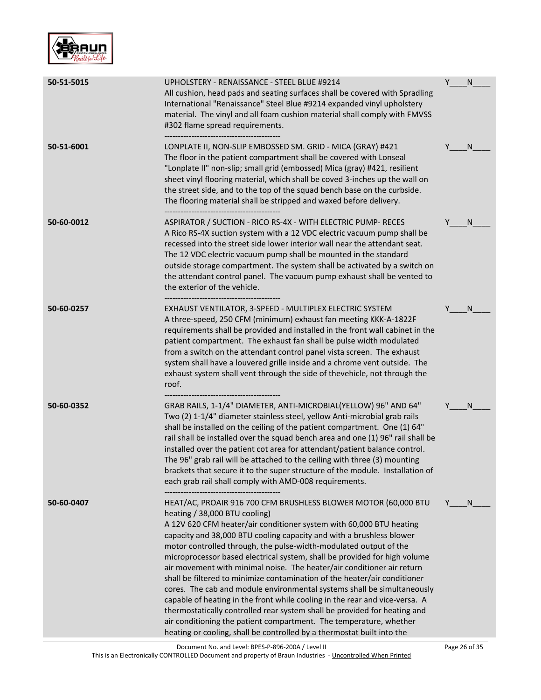

| 50-51-5015 | UPHOLSTERY - RENAISSANCE - STEEL BLUE #9214<br>All cushion, head pads and seating surfaces shall be covered with Spradling<br>International "Renaissance" Steel Blue #9214 expanded vinyl upholstery<br>material. The vinyl and all foam cushion material shall comply with FMVSS<br>#302 flame spread requirements.                                                                                                                                                                                                                                                                                                                                                                                                                                                                                                                                                                                                                           | Y | N |
|------------|------------------------------------------------------------------------------------------------------------------------------------------------------------------------------------------------------------------------------------------------------------------------------------------------------------------------------------------------------------------------------------------------------------------------------------------------------------------------------------------------------------------------------------------------------------------------------------------------------------------------------------------------------------------------------------------------------------------------------------------------------------------------------------------------------------------------------------------------------------------------------------------------------------------------------------------------|---|---|
| 50-51-6001 | LONPLATE II, NON-SLIP EMBOSSED SM. GRID - MICA (GRAY) #421<br>The floor in the patient compartment shall be covered with Lonseal<br>"Lonplate II" non-slip; small grid (embossed) Mica (gray) #421, resilient<br>sheet vinyl flooring material, which shall be coved 3-inches up the wall on<br>the street side, and to the top of the squad bench base on the curbside.<br>The flooring material shall be stripped and waxed before delivery.                                                                                                                                                                                                                                                                                                                                                                                                                                                                                                 |   | N |
| 50-60-0012 | ASPIRATOR / SUCTION - RICO RS-4X - WITH ELECTRIC PUMP- RECES<br>A Rico RS-4X suction system with a 12 VDC electric vacuum pump shall be<br>recessed into the street side lower interior wall near the attendant seat.<br>The 12 VDC electric vacuum pump shall be mounted in the standard<br>outside storage compartment. The system shall be activated by a switch on<br>the attendant control panel. The vacuum pump exhaust shall be vented to<br>the exterior of the vehicle.                                                                                                                                                                                                                                                                                                                                                                                                                                                              | Y | N |
| 50-60-0257 | EXHAUST VENTILATOR, 3-SPEED - MULTIPLEX ELECTRIC SYSTEM<br>A three-speed, 250 CFM (minimum) exhaust fan meeting KKK-A-1822F<br>requirements shall be provided and installed in the front wall cabinet in the<br>patient compartment. The exhaust fan shall be pulse width modulated<br>from a switch on the attendant control panel vista screen. The exhaust<br>system shall have a louvered grille inside and a chrome vent outside. The<br>exhaust system shall vent through the side of thevehicle, not through the<br>roof.                                                                                                                                                                                                                                                                                                                                                                                                               |   | N |
| 50-60-0352 | GRAB RAILS, 1-1/4" DIAMETER, ANTI-MICROBIAL(YELLOW) 96" AND 64"<br>Two (2) 1-1/4" diameter stainless steel, yellow Anti-microbial grab rails<br>shall be installed on the ceiling of the patient compartment. One (1) 64"<br>rail shall be installed over the squad bench area and one (1) 96" rail shall be<br>installed over the patient cot area for attendant/patient balance control.<br>The 96" grab rail will be attached to the ceiling with three (3) mounting<br>brackets that secure it to the super structure of the module. Installation of<br>each grab rail shall comply with AMD-008 requirements.                                                                                                                                                                                                                                                                                                                             |   | N |
| 50-60-0407 | HEAT/AC, PROAIR 916 700 CFM BRUSHLESS BLOWER MOTOR (60,000 BTU<br>heating / 38,000 BTU cooling)<br>A 12V 620 CFM heater/air conditioner system with 60,000 BTU heating<br>capacity and 38,000 BTU cooling capacity and with a brushless blower<br>motor controlled through, the pulse-width-modulated output of the<br>microprocessor based electrical system, shall be provided for high volume<br>air movement with minimal noise. The heater/air conditioner air return<br>shall be filtered to minimize contamination of the heater/air conditioner<br>cores. The cab and module environmental systems shall be simultaneously<br>capable of heating in the front while cooling in the rear and vice-versa. A<br>thermostatically controlled rear system shall be provided for heating and<br>air conditioning the patient compartment. The temperature, whether<br>heating or cooling, shall be controlled by a thermostat built into the | Y | N |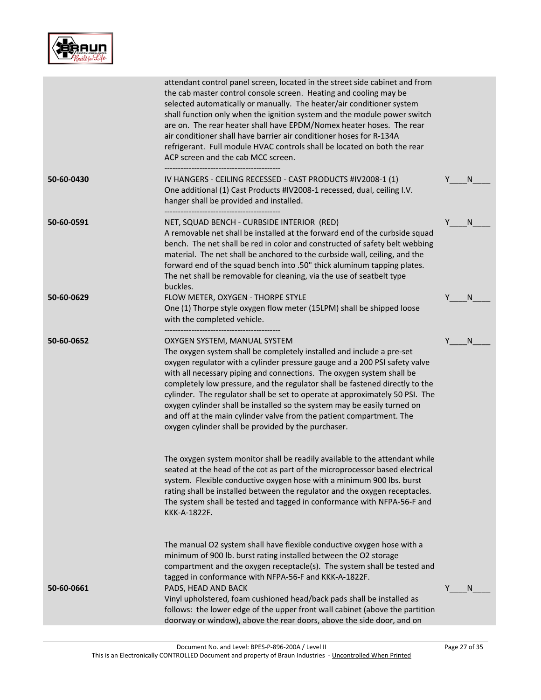

|            | attendant control panel screen, located in the street side cabinet and from<br>the cab master control console screen. Heating and cooling may be<br>selected automatically or manually. The heater/air conditioner system<br>shall function only when the ignition system and the module power switch<br>are on. The rear heater shall have EPDM/Nomex heater hoses. The rear<br>air conditioner shall have barrier air conditioner hoses for R-134A<br>refrigerant. Full module HVAC controls shall be located on both the rear<br>ACP screen and the cab MCC screen.                                                                  |   |   |
|------------|-----------------------------------------------------------------------------------------------------------------------------------------------------------------------------------------------------------------------------------------------------------------------------------------------------------------------------------------------------------------------------------------------------------------------------------------------------------------------------------------------------------------------------------------------------------------------------------------------------------------------------------------|---|---|
| 50-60-0430 | IV HANGERS - CEILING RECESSED - CAST PRODUCTS #IV2008-1 (1)<br>One additional (1) Cast Products #IV2008-1 recessed, dual, ceiling I.V.<br>hanger shall be provided and installed.<br>---------------------------------                                                                                                                                                                                                                                                                                                                                                                                                                  |   | N |
| 50-60-0591 | NET, SQUAD BENCH - CURBSIDE INTERIOR (RED)<br>A removable net shall be installed at the forward end of the curbside squad<br>bench. The net shall be red in color and constructed of safety belt webbing<br>material. The net shall be anchored to the curbside wall, ceiling, and the<br>forward end of the squad bench into .50" thick aluminum tapping plates.<br>The net shall be removable for cleaning, via the use of seatbelt type<br>buckles.                                                                                                                                                                                  | Y | N |
| 50-60-0629 | FLOW METER, OXYGEN - THORPE STYLE<br>One (1) Thorpe style oxygen flow meter (15LPM) shall be shipped loose<br>with the completed vehicle.                                                                                                                                                                                                                                                                                                                                                                                                                                                                                               | Y | N |
| 50-60-0652 | OXYGEN SYSTEM, MANUAL SYSTEM<br>The oxygen system shall be completely installed and include a pre-set<br>oxygen regulator with a cylinder pressure gauge and a 200 PSI safety valve<br>with all necessary piping and connections. The oxygen system shall be<br>completely low pressure, and the regulator shall be fastened directly to the<br>cylinder. The regulator shall be set to operate at approximately 50 PSI. The<br>oxygen cylinder shall be installed so the system may be easily turned on<br>and off at the main cylinder valve from the patient compartment. The<br>oxygen cylinder shall be provided by the purchaser. | Y | N |
|            | The oxygen system monitor shall be readily available to the attendant while<br>seated at the head of the cot as part of the microprocessor based electrical<br>system. Flexible conductive oxygen hose with a minimum 900 lbs. burst<br>rating shall be installed between the regulator and the oxygen receptacles.<br>The system shall be tested and tagged in conformance with NFPA-56-F and<br>KKK-A-1822F.                                                                                                                                                                                                                          |   |   |
| 50-60-0661 | The manual O2 system shall have flexible conductive oxygen hose with a<br>minimum of 900 lb. burst rating installed between the O2 storage<br>compartment and the oxygen receptacle(s). The system shall be tested and<br>tagged in conformance with NFPA-56-F and KKK-A-1822F.<br>PADS, HEAD AND BACK<br>Vinyl upholstered, foam cushioned head/back pads shall be installed as<br>follows: the lower edge of the upper front wall cabinet (above the partition<br>doorway or window), above the rear doors, above the side door, and on                                                                                               | Y | N |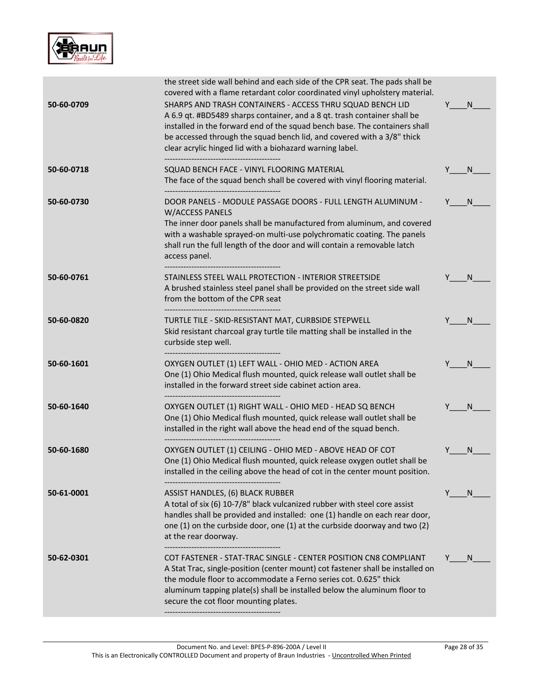

| 50-60-0709 | the street side wall behind and each side of the CPR seat. The pads shall be<br>covered with a flame retardant color coordinated vinyl upholstery material.<br>SHARPS AND TRASH CONTAINERS - ACCESS THRU SQUAD BENCH LID<br>A 6.9 qt. #BD5489 sharps container, and a 8 qt. trash container shall be<br>installed in the forward end of the squad bench base. The containers shall<br>be accessed through the squad bench lid, and covered with a 3/8" thick<br>clear acrylic hinged lid with a biohazard warning label. |   | N  |
|------------|--------------------------------------------------------------------------------------------------------------------------------------------------------------------------------------------------------------------------------------------------------------------------------------------------------------------------------------------------------------------------------------------------------------------------------------------------------------------------------------------------------------------------|---|----|
| 50-60-0718 | SQUAD BENCH FACE - VINYL FLOORING MATERIAL<br>The face of the squad bench shall be covered with vinyl flooring material.                                                                                                                                                                                                                                                                                                                                                                                                 |   | N  |
| 50-60-0730 | DOOR PANELS - MODULE PASSAGE DOORS - FULL LENGTH ALUMINUM -<br>W/ACCESS PANELS<br>The inner door panels shall be manufactured from aluminum, and covered<br>with a washable sprayed-on multi-use polychromatic coating. The panels<br>shall run the full length of the door and will contain a removable latch<br>access panel.                                                                                                                                                                                          |   | N  |
| 50-60-0761 | STAINLESS STEEL WALL PROTECTION - INTERIOR STREETSIDE<br>A brushed stainless steel panel shall be provided on the street side wall<br>from the bottom of the CPR seat                                                                                                                                                                                                                                                                                                                                                    |   | N  |
| 50-60-0820 | ------------------------------<br>TURTLE TILE - SKID-RESISTANT MAT, CURBSIDE STEPWELL<br>Skid resistant charcoal gray turtle tile matting shall be installed in the<br>curbside step well.                                                                                                                                                                                                                                                                                                                               |   | N  |
| 50-60-1601 | OXYGEN OUTLET (1) LEFT WALL - OHIO MED - ACTION AREA<br>One (1) Ohio Medical flush mounted, quick release wall outlet shall be<br>installed in the forward street side cabinet action area.                                                                                                                                                                                                                                                                                                                              |   | N  |
| 50-60-1640 | OXYGEN OUTLET (1) RIGHT WALL - OHIO MED - HEAD SQ BENCH<br>One (1) Ohio Medical flush mounted, quick release wall outlet shall be<br>installed in the right wall above the head end of the squad bench.                                                                                                                                                                                                                                                                                                                  |   | N  |
| 50-60-1680 | OXYGEN OUTLET (1) CEILING - OHIO MED - ABOVE HEAD OF COT<br>One (1) Ohio Medical flush mounted, quick release oxygen outlet shall be<br>installed in the ceiling above the head of cot in the center mount position.                                                                                                                                                                                                                                                                                                     |   | N  |
| 50-61-0001 | <b>ASSIST HANDLES, (6) BLACK RUBBER</b><br>A total of six (6) 10-7/8" black vulcanized rubber with steel core assist<br>handles shall be provided and installed: one (1) handle on each rear door,<br>one (1) on the curbside door, one (1) at the curbside doorway and two (2)<br>at the rear doorway.                                                                                                                                                                                                                  |   | N. |
| 50-62-0301 | COT FASTENER - STAT-TRAC SINGLE - CENTER POSITION CN8 COMPLIANT<br>A Stat Trac, single-position (center mount) cot fastener shall be installed on<br>the module floor to accommodate a Ferno series cot. 0.625" thick<br>aluminum tapping plate(s) shall be installed below the aluminum floor to<br>secure the cot floor mounting plates.                                                                                                                                                                               | Y | N  |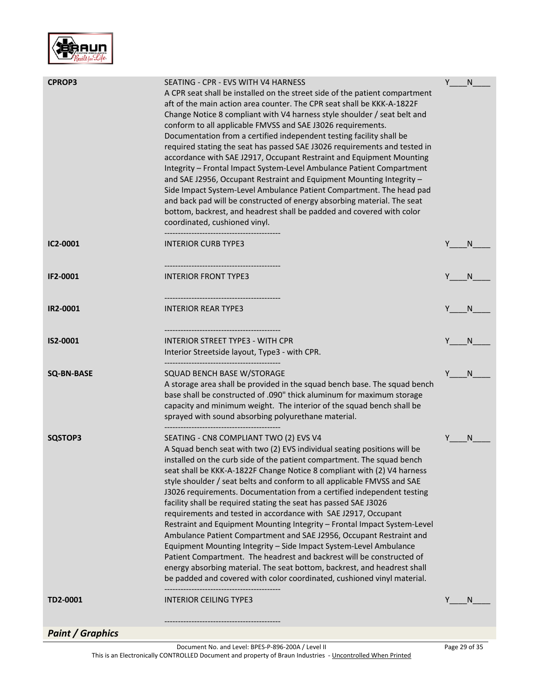

| <b>CPROP3</b>     | SEATING - CPR - EVS WITH V4 HARNESS<br>A CPR seat shall be installed on the street side of the patient compartment<br>aft of the main action area counter. The CPR seat shall be KKK-A-1822F<br>Change Notice 8 compliant with V4 harness style shoulder / seat belt and<br>conform to all applicable FMVSS and SAE J3026 requirements.<br>Documentation from a certified independent testing facility shall be<br>required stating the seat has passed SAE J3026 requirements and tested in<br>accordance with SAE J2917, Occupant Restraint and Equipment Mounting<br>Integrity - Frontal Impact System-Level Ambulance Patient Compartment<br>and SAE J2956, Occupant Restraint and Equipment Mounting Integrity -<br>Side Impact System-Level Ambulance Patient Compartment. The head pad<br>and back pad will be constructed of energy absorbing material. The seat<br>bottom, backrest, and headrest shall be padded and covered with color<br>coordinated, cushioned vinyl.                                         | Y | N |
|-------------------|----------------------------------------------------------------------------------------------------------------------------------------------------------------------------------------------------------------------------------------------------------------------------------------------------------------------------------------------------------------------------------------------------------------------------------------------------------------------------------------------------------------------------------------------------------------------------------------------------------------------------------------------------------------------------------------------------------------------------------------------------------------------------------------------------------------------------------------------------------------------------------------------------------------------------------------------------------------------------------------------------------------------------|---|---|
| IC2-0001          | <b>INTERIOR CURB TYPE3</b>                                                                                                                                                                                                                                                                                                                                                                                                                                                                                                                                                                                                                                                                                                                                                                                                                                                                                                                                                                                                 | Y | N |
| IF2-0001          | <b>INTERIOR FRONT TYPE3</b>                                                                                                                                                                                                                                                                                                                                                                                                                                                                                                                                                                                                                                                                                                                                                                                                                                                                                                                                                                                                |   | N |
| IR2-0001          | --------------------------------------<br><b>INTERIOR REAR TYPE3</b>                                                                                                                                                                                                                                                                                                                                                                                                                                                                                                                                                                                                                                                                                                                                                                                                                                                                                                                                                       |   | N |
| IS2-0001          | <b>INTERIOR STREET TYPE3 - WITH CPR</b><br>Interior Streetside layout, Type3 - with CPR.                                                                                                                                                                                                                                                                                                                                                                                                                                                                                                                                                                                                                                                                                                                                                                                                                                                                                                                                   |   | N |
| <b>SQ-BN-BASE</b> | SQUAD BENCH BASE W/STORAGE<br>A storage area shall be provided in the squad bench base. The squad bench<br>base shall be constructed of .090" thick aluminum for maximum storage<br>capacity and minimum weight. The interior of the squad bench shall be<br>sprayed with sound absorbing polyurethane material.                                                                                                                                                                                                                                                                                                                                                                                                                                                                                                                                                                                                                                                                                                           | Y | N |
| SQSTOP3           | SEATING - CN8 COMPLIANT TWO (2) EVS V4<br>A Squad bench seat with two (2) EVS individual seating positions will be<br>installed on the curb side of the patient compartment. The squad bench<br>seat shall be KKK-A-1822F Change Notice 8 compliant with (2) V4 harness<br>style shoulder / seat belts and conform to all applicable FMVSS and SAE<br>J3026 requirements. Documentation from a certified independent testing<br>facility shall be required stating the seat has passed SAE J3026<br>requirements and tested in accordance with SAE J2917, Occupant<br>Restraint and Equipment Mounting Integrity - Frontal Impact System-Level<br>Ambulance Patient Compartment and SAE J2956, Occupant Restraint and<br>Equipment Mounting Integrity - Side Impact System-Level Ambulance<br>Patient Compartment. The headrest and backrest will be constructed of<br>energy absorbing material. The seat bottom, backrest, and headrest shall<br>be padded and covered with color coordinated, cushioned vinyl material. |   | N |
| TD2-0001          | <b>INTERIOR CEILING TYPE3</b>                                                                                                                                                                                                                                                                                                                                                                                                                                                                                                                                                                                                                                                                                                                                                                                                                                                                                                                                                                                              | Y | N |
| Daint / Cranbicc  |                                                                                                                                                                                                                                                                                                                                                                                                                                                                                                                                                                                                                                                                                                                                                                                                                                                                                                                                                                                                                            |   |   |

*Paint / Graphics*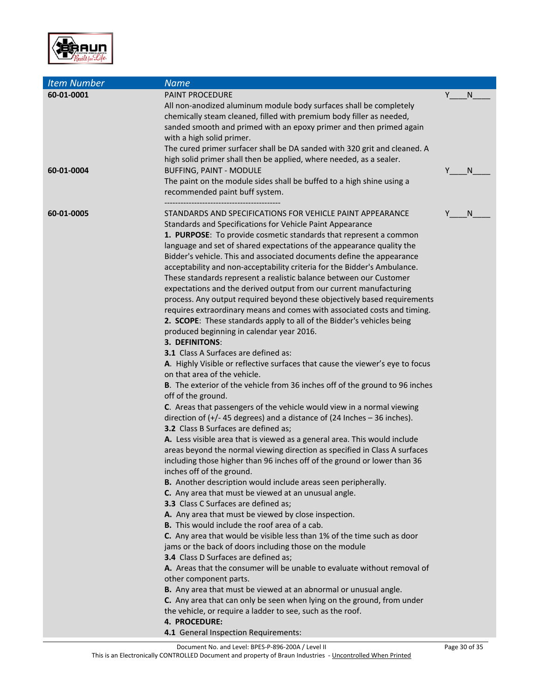

| <b>PAINT PROCEDURE</b><br>Y.<br>N<br>All non-anodized aluminum module body surfaces shall be completely<br>chemically steam cleaned, filled with premium body filler as needed,<br>sanded smooth and primed with an epoxy primer and then primed again<br>with a high solid primer.<br>The cured primer surfacer shall be DA sanded with 320 grit and cleaned. A<br>high solid primer shall then be applied, where needed, as a sealer.<br><b>BUFFING, PAINT - MODULE</b><br>Y<br>N<br>The paint on the module sides shall be buffed to a high shine using a<br>recommended paint buff system.<br>STANDARDS AND SPECIFICATIONS FOR VEHICLE PAINT APPEARANCE<br>Y<br>N<br>Standards and Specifications for Vehicle Paint Appearance<br>1. PURPOSE: To provide cosmetic standards that represent a common<br>language and set of shared expectations of the appearance quality the<br>Bidder's vehicle. This and associated documents define the appearance<br>acceptability and non-acceptability criteria for the Bidder's Ambulance.<br>These standards represent a realistic balance between our Customer<br>expectations and the derived output from our current manufacturing<br>process. Any output required beyond these objectively based requirements<br>requires extraordinary means and comes with associated costs and timing.<br>2. SCOPE: These standards apply to all of the Bidder's vehicles being<br>produced beginning in calendar year 2016.<br><b>3. DEFINITONS:</b><br>3.1 Class A Surfaces are defined as:<br>A. Highly Visible or reflective surfaces that cause the viewer's eye to focus<br>on that area of the vehicle.<br>B. The exterior of the vehicle from 36 inches off of the ground to 96 inches<br>off of the ground.<br>C. Areas that passengers of the vehicle would view in a normal viewing<br>direction of $(+/- 45$ degrees) and a distance of (24 Inches $-36$ inches).<br>3.2 Class B Surfaces are defined as;<br>A. Less visible area that is viewed as a general area. This would include<br>areas beyond the normal viewing direction as specified in Class A surfaces | 60-01-0001<br>60-01-0004<br>60-01-0005<br>including those higher than 96 inches off of the ground or lower than 36<br>inches off of the ground.<br>B. Another description would include areas seen peripherally.<br>C. Any area that must be viewed at an unusual angle.<br>3.3 Class C Surfaces are defined as;<br>A. Any area that must be viewed by close inspection.<br><b>B.</b> This would include the roof area of a cab.<br>C. Any area that would be visible less than 1% of the time such as door<br>jams or the back of doors including those on the module<br>3.4 Class D Surfaces are defined as;<br>A. Areas that the consumer will be unable to evaluate without removal of | <b>Item Number</b> | <b>Name</b> |  |
|---------------------------------------------------------------------------------------------------------------------------------------------------------------------------------------------------------------------------------------------------------------------------------------------------------------------------------------------------------------------------------------------------------------------------------------------------------------------------------------------------------------------------------------------------------------------------------------------------------------------------------------------------------------------------------------------------------------------------------------------------------------------------------------------------------------------------------------------------------------------------------------------------------------------------------------------------------------------------------------------------------------------------------------------------------------------------------------------------------------------------------------------------------------------------------------------------------------------------------------------------------------------------------------------------------------------------------------------------------------------------------------------------------------------------------------------------------------------------------------------------------------------------------------------------------------------------------------------------------------------------------------------------------------------------------------------------------------------------------------------------------------------------------------------------------------------------------------------------------------------------------------------------------------------------------------------------------------------------------------------------------------------------------------------------------------------------------------------------------------------|--------------------------------------------------------------------------------------------------------------------------------------------------------------------------------------------------------------------------------------------------------------------------------------------------------------------------------------------------------------------------------------------------------------------------------------------------------------------------------------------------------------------------------------------------------------------------------------------------------------------------------------------------------------------------------------------|--------------------|-------------|--|
|                                                                                                                                                                                                                                                                                                                                                                                                                                                                                                                                                                                                                                                                                                                                                                                                                                                                                                                                                                                                                                                                                                                                                                                                                                                                                                                                                                                                                                                                                                                                                                                                                                                                                                                                                                                                                                                                                                                                                                                                                                                                                                                     |                                                                                                                                                                                                                                                                                                                                                                                                                                                                                                                                                                                                                                                                                            |                    |             |  |
|                                                                                                                                                                                                                                                                                                                                                                                                                                                                                                                                                                                                                                                                                                                                                                                                                                                                                                                                                                                                                                                                                                                                                                                                                                                                                                                                                                                                                                                                                                                                                                                                                                                                                                                                                                                                                                                                                                                                                                                                                                                                                                                     |                                                                                                                                                                                                                                                                                                                                                                                                                                                                                                                                                                                                                                                                                            |                    |             |  |
| other component parts.<br>B. Any area that must be viewed at an abnormal or unusual angle.<br>C. Any area that can only be seen when lying on the ground, from under                                                                                                                                                                                                                                                                                                                                                                                                                                                                                                                                                                                                                                                                                                                                                                                                                                                                                                                                                                                                                                                                                                                                                                                                                                                                                                                                                                                                                                                                                                                                                                                                                                                                                                                                                                                                                                                                                                                                                | the vehicle, or require a ladder to see, such as the roof.<br>4. PROCEDURE:                                                                                                                                                                                                                                                                                                                                                                                                                                                                                                                                                                                                                |                    |             |  |
| 4.1 General Inspection Requirements:                                                                                                                                                                                                                                                                                                                                                                                                                                                                                                                                                                                                                                                                                                                                                                                                                                                                                                                                                                                                                                                                                                                                                                                                                                                                                                                                                                                                                                                                                                                                                                                                                                                                                                                                                                                                                                                                                                                                                                                                                                                                                | Document No. and Level: BPES-P-896-200A / Level II<br>Page 30 of 35                                                                                                                                                                                                                                                                                                                                                                                                                                                                                                                                                                                                                        |                    |             |  |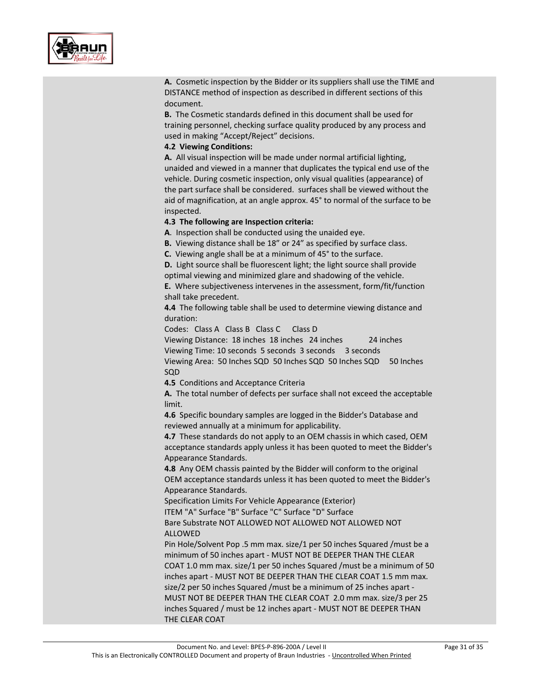

**A.** Cosmetic inspection by the Bidder or its suppliers shall use the TIME and DISTANCE method of inspection as described in different sections of this document.

**B.** The Cosmetic standards defined in this document shall be used for training personnel, checking surface quality produced by any process and used in making "Accept/Reject" decisions.

#### **4.2 Viewing Conditions:**

**A.** All visual inspection will be made under normal artificial lighting, unaided and viewed in a manner that duplicates the typical end use of the vehicle. During cosmetic inspection, only visual qualities (appearance) of the part surface shall be considered. surfaces shall be viewed without the aid of magnification, at an angle approx. 45° to normal of the surface to be inspected.

#### **4.3 The following are Inspection criteria:**

**A**. Inspection shall be conducted using the unaided eye.

**B.** Viewing distance shall be 18" or 24" as specified by surface class.

**C.** Viewing angle shall be at a minimum of 45° to the surface.

**D.** Light source shall be fluorescent light; the light source shall provide optimal viewing and minimized glare and shadowing of the vehicle.

**E.** Where subjectiveness intervenes in the assessment, form/fit/function shall take precedent.

**4.4** The following table shall be used to determine viewing distance and duration:

Codes: Class A Class B Class C Class D

Viewing Distance: 18 inches 18 inches 24 inches 24 inches Viewing Time: 10 seconds 5 seconds 3 seconds 3 seconds

Viewing Area: 50 Inches SQD 50 Inches SQD 50 Inches SQD 50 Inches SQD

**4.5** Conditions and Acceptance Criteria

**A.** The total number of defects per surface shall not exceed the acceptable limit.

**4.6** Specific boundary samples are logged in the Bidder's Database and reviewed annually at a minimum for applicability.

**4.7** These standards do not apply to an OEM chassis in which cased, OEM acceptance standards apply unless it has been quoted to meet the Bidder's Appearance Standards.

**4.8** Any OEM chassis painted by the Bidder will conform to the original OEM acceptance standards unless it has been quoted to meet the Bidder's Appearance Standards.

Specification Limits For Vehicle Appearance (Exterior)

ITEM "A" Surface "B" Surface "C" Surface "D" Surface

Bare Substrate NOT ALLOWED NOT ALLOWED NOT ALLOWED NOT ALLOWED

Pin Hole/Solvent Pop .5 mm max. size/1 per 50 inches Squared /must be a minimum of 50 inches apart - MUST NOT BE DEEPER THAN THE CLEAR COAT 1.0 mm max. size/1 per 50 inches Squared /must be a minimum of 50 inches apart - MUST NOT BE DEEPER THAN THE CLEAR COAT 1.5 mm max. size/2 per 50 inches Squared /must be a minimum of 25 inches apart - MUST NOT BE DEEPER THAN THE CLEAR COAT 2.0 mm max. size/3 per 25 inches Squared / must be 12 inches apart - MUST NOT BE DEEPER THAN THE CLEAR COAT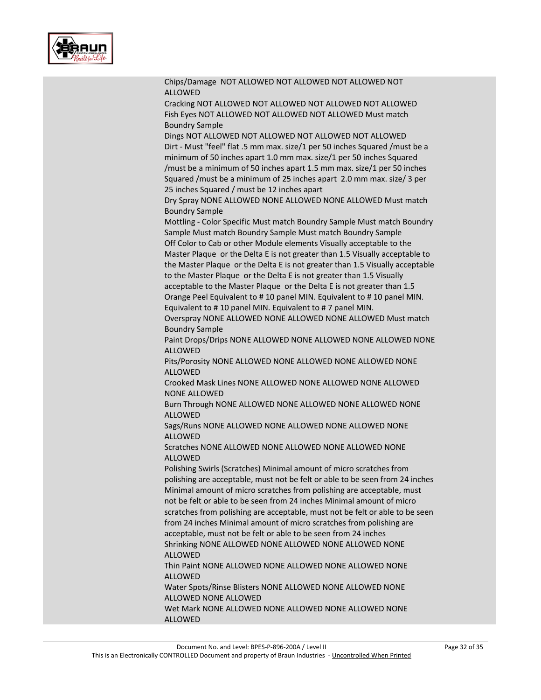

| Chips/Damage NOT ALLOWED NOT ALLOWED NOT ALLOWED NOT<br><b>ALLOWED</b>          |
|---------------------------------------------------------------------------------|
| Cracking NOT ALLOWED NOT ALLOWED NOT ALLOWED NOT ALLOWED                        |
| Fish Eyes NOT ALLOWED NOT ALLOWED NOT ALLOWED Must match                        |
| <b>Boundry Sample</b>                                                           |
| Dings NOT ALLOWED NOT ALLOWED NOT ALLOWED NOT ALLOWED                           |
| Dirt - Must "feel" flat .5 mm max. size/1 per 50 inches Squared / must be a     |
| minimum of 50 inches apart 1.0 mm max. size/1 per 50 inches Squared             |
| /must be a minimum of 50 inches apart 1.5 mm max. size/1 per 50 inches          |
| Squared /must be a minimum of 25 inches apart 2.0 mm max. size/ 3 per           |
| 25 inches Squared / must be 12 inches apart                                     |
| Dry Spray NONE ALLOWED NONE ALLOWED NONE ALLOWED Must match                     |
| <b>Boundry Sample</b>                                                           |
| Mottling - Color Specific Must match Boundry Sample Must match Boundry          |
| Sample Must match Boundry Sample Must match Boundry Sample                      |
| Off Color to Cab or other Module elements Visually acceptable to the            |
| Master Plaque or the Delta E is not greater than 1.5 Visually acceptable to     |
| the Master Plaque or the Delta E is not greater than 1.5 Visually acceptable    |
| to the Master Plaque or the Delta E is not greater than 1.5 Visually            |
| acceptable to the Master Plaque or the Delta E is not greater than 1.5          |
| Orange Peel Equivalent to #10 panel MIN. Equivalent to #10 panel MIN.           |
| Equivalent to #10 panel MIN. Equivalent to #7 panel MIN.                        |
| Overspray NONE ALLOWED NONE ALLOWED NONE ALLOWED Must match                     |
| <b>Boundry Sample</b>                                                           |
| Paint Drops/Drips NONE ALLOWED NONE ALLOWED NONE ALLOWED NONE<br><b>ALLOWED</b> |
| Pits/Porosity NONE ALLOWED NONE ALLOWED NONE ALLOWED NONE                       |
| <b>ALLOWED</b>                                                                  |
| Crooked Mask Lines NONE ALLOWED NONE ALLOWED NONE ALLOWED                       |
| <b>NONE ALLOWED</b>                                                             |
| Burn Through NONE ALLOWED NONE ALLOWED NONE ALLOWED NONE                        |
| <b>ALLOWED</b>                                                                  |
| Sags/Runs NONE ALLOWED NONE ALLOWED NONE ALLOWED NONE<br><b>ALLOWED</b>         |
| Scratches NONE ALLOWED NONE ALLOWED NONE ALLOWED NONE                           |
| <b>ALLOWED</b>                                                                  |
| Polishing Swirls (Scratches) Minimal amount of micro scratches from             |
| polishing are acceptable, must not be felt or able to be seen from 24 inches    |
| Minimal amount of micro scratches from polishing are acceptable, must           |
| not be felt or able to be seen from 24 inches Minimal amount of micro           |
| scratches from polishing are acceptable, must not be felt or able to be seen    |
| from 24 inches Minimal amount of micro scratches from polishing are             |
| acceptable, must not be felt or able to be seen from 24 inches                  |
| Shrinking NONE ALLOWED NONE ALLOWED NONE ALLOWED NONE<br><b>ALLOWED</b>         |
| Thin Paint NONE ALLOWED NONE ALLOWED NONE ALLOWED NONE                          |
| <b>ALLOWED</b>                                                                  |
| Water Spots/Rinse Blisters NONE ALLOWED NONE ALLOWED NONE                       |
| ALLOWED NONE ALLOWED                                                            |
| Wet Mark NONE ALLOWED NONE ALLOWED NONE ALLOWED NONE                            |
| <b>ALLOWED</b>                                                                  |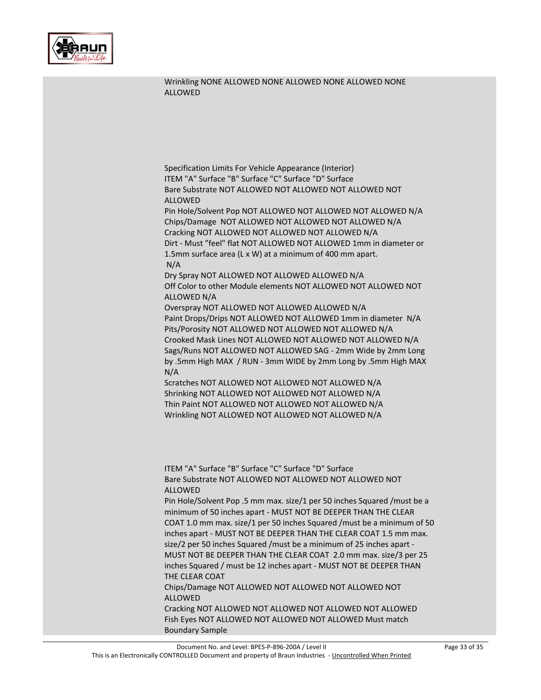

Wrinkling NONE ALLOWED NONE ALLOWED NONE ALLOWED NONE ALLOWED

Specification Limits For Vehicle Appearance (Interior) ITEM "A" Surface "B" Surface "C" Surface "D" Surface Bare Substrate NOT ALLOWED NOT ALLOWED NOT ALLOWED NOT **ALLOWED** 

Pin Hole/Solvent Pop NOT ALLOWED NOT ALLOWED NOT ALLOWED N/A Chips/Damage NOT ALLOWED NOT ALLOWED NOT ALLOWED N/A Cracking NOT ALLOWED NOT ALLOWED NOT ALLOWED N/A Dirt - Must "feel" flat NOT ALLOWED NOT ALLOWED 1mm in diameter or 1.5mm surface area (L x W) at a minimum of 400 mm apart. N/A

Dry Spray NOT ALLOWED NOT ALLOWED ALLOWED N/A Off Color to other Module elements NOT ALLOWED NOT ALLOWED NOT ALLOWED N/A

Overspray NOT ALLOWED NOT ALLOWED ALLOWED N/A Paint Drops/Drips NOT ALLOWED NOT ALLOWED 1mm in diameter N/A Pits/Porosity NOT ALLOWED NOT ALLOWED NOT ALLOWED N/A Crooked Mask Lines NOT ALLOWED NOT ALLOWED NOT ALLOWED N/A Sags/Runs NOT ALLOWED NOT ALLOWED SAG - 2mm Wide by 2mm Long by .5mm High MAX / RUN - 3mm WIDE by 2mm Long by .5mm High MAX N/A

Scratches NOT ALLOWED NOT ALLOWED NOT ALLOWED N/A Shrinking NOT ALLOWED NOT ALLOWED NOT ALLOWED N/A Thin Paint NOT ALLOWED NOT ALLOWED NOT ALLOWED N/A Wrinkling NOT ALLOWED NOT ALLOWED NOT ALLOWED N/A

ITEM "A" Surface "B" Surface "C" Surface "D" Surface Bare Substrate NOT ALLOWED NOT ALLOWED NOT ALLOWED NOT ALLOWED

Pin Hole/Solvent Pop .5 mm max. size/1 per 50 inches Squared /must be a minimum of 50 inches apart - MUST NOT BE DEEPER THAN THE CLEAR COAT 1.0 mm max. size/1 per 50 inches Squared /must be a minimum of 50 inches apart - MUST NOT BE DEEPER THAN THE CLEAR COAT 1.5 mm max. size/2 per 50 inches Squared /must be a minimum of 25 inches apart - MUST NOT BE DEEPER THAN THE CLEAR COAT 2.0 mm max. size/3 per 25 inches Squared / must be 12 inches apart - MUST NOT BE DEEPER THAN THE CLEAR COAT

Chips/Damage NOT ALLOWED NOT ALLOWED NOT ALLOWED NOT ALLOWED

Cracking NOT ALLOWED NOT ALLOWED NOT ALLOWED NOT ALLOWED Fish Eyes NOT ALLOWED NOT ALLOWED NOT ALLOWED Must match Boundary Sample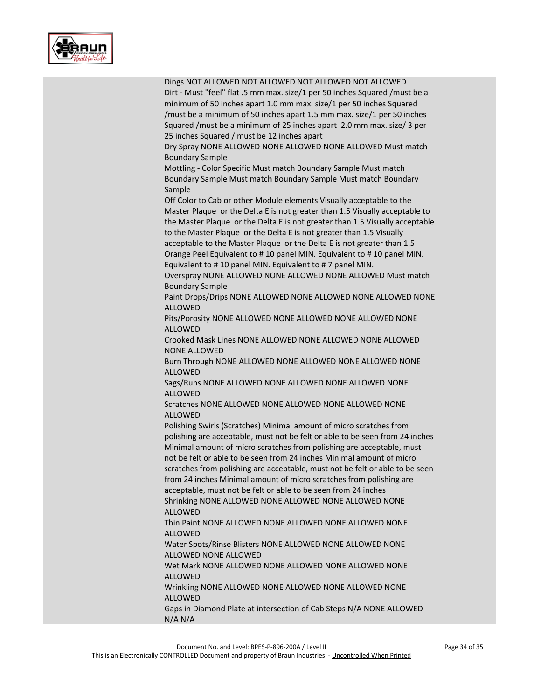

### Dings NOT ALLOWED NOT ALLOWED NOT ALLOWED NOT ALLOWED Dirt - Must "feel" flat .5 mm max. size/1 per 50 inches Squared /must be a minimum of 50 inches apart 1.0 mm max. size/1 per 50 inches Squared /must be a minimum of 50 inches apart 1.5 mm max. size/1 per 50 inches Squared /must be a minimum of 25 inches apart 2.0 mm max. size/ 3 per 25 inches Squared / must be 12 inches apart Dry Spray NONE ALLOWED NONE ALLOWED NONE ALLOWED Must match Boundary Sample Mottling - Color Specific Must match Boundary Sample Must match Boundary Sample Must match Boundary Sample Must match Boundary Sample Off Color to Cab or other Module elements Visually acceptable to the Master Plaque or the Delta E is not greater than 1.5 Visually acceptable to the Master Plaque or the Delta E is not greater than 1.5 Visually acceptable to the Master Plaque or the Delta E is not greater than 1.5 Visually acceptable to the Master Plaque or the Delta E is not greater than 1.5 Orange Peel Equivalent to # 10 panel MIN. Equivalent to # 10 panel MIN. Equivalent to # 10 panel MIN. Equivalent to # 7 panel MIN. Overspray NONE ALLOWED NONE ALLOWED NONE ALLOWED Must match Boundary Sample Paint Drops/Drips NONE ALLOWED NONE ALLOWED NONE ALLOWED NONE ALLOWED Pits/Porosity NONE ALLOWED NONE ALLOWED NONE ALLOWED NONE ALLOWED Crooked Mask Lines NONE ALLOWED NONE ALLOWED NONE ALLOWED NONE ALLOWED Burn Through NONE ALLOWED NONE ALLOWED NONE ALLOWED NONE ALLOWED Sags/Runs NONE ALLOWED NONE ALLOWED NONE ALLOWED NONE ALLOWED Scratches NONE ALLOWED NONE ALLOWED NONE ALLOWED NONE ALLOWED Polishing Swirls (Scratches) Minimal amount of micro scratches from polishing are acceptable, must not be felt or able to be seen from 24 inches Minimal amount of micro scratches from polishing are acceptable, must not be felt or able to be seen from 24 inches Minimal amount of micro scratches from polishing are acceptable, must not be felt or able to be seen from 24 inches Minimal amount of micro scratches from polishing are acceptable, must not be felt or able to be seen from 24 inches Shrinking NONE ALLOWED NONE ALLOWED NONE ALLOWED NONE ALLOWED Thin Paint NONE ALLOWED NONE ALLOWED NONE ALLOWED NONE ALLOWED Water Spots/Rinse Blisters NONE ALLOWED NONE ALLOWED NONE ALLOWED NONE ALLOWED Wet Mark NONE ALLOWED NONE ALLOWED NONE ALLOWED NONE ALLOWED Wrinkling NONE ALLOWED NONE ALLOWED NONE ALLOWED NONE ALLOWED Gaps in Diamond Plate at intersection of Cab Steps N/A NONE ALLOWED N/A N/A